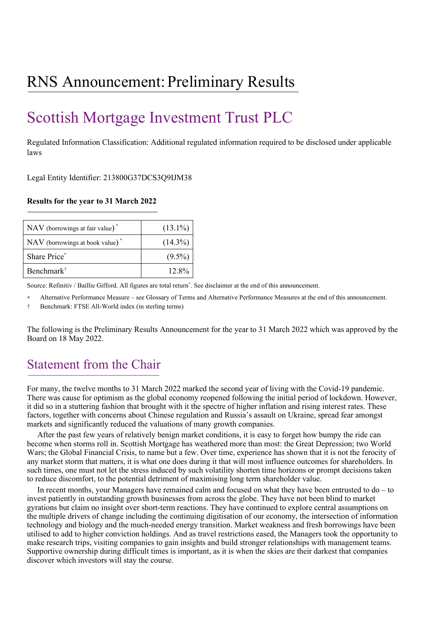# RNS Announcement: Preliminary Results

# Scottish Mortgage Investment Trust PLC

Regulated Information Classification: Additional regulated information required to be disclosed under applicable laws

Legal Entity Identifier: 213800G37DCS3Q9IJM38

#### **Results for the year to 31 March 2022**

| $NAV$ (borrowings at fair value) <sup>*</sup> | $(13.1\%)$ |
|-----------------------------------------------|------------|
| NAV (borrowings at book value)*               | $(14.3\%)$ |
| Share Price*                                  | $(9.5\%)$  |
| Benchmark <sup>†</sup>                        | 12.8%      |

Source: Refinitiv / Baillie Gifford. All figures are total return\* . See disclaimer at the end of this announcement.

∗ Alternative Performance Measure – see Glossary of Terms and Alternative Performance Measures at the end of this announcement.

† Benchmark: FTSE All-World index (in sterling terms)

The following is the Preliminary Results Announcement for the year to 31 March 2022 which was approved by the Board on 18 May 2022.

### Statement from the Chair

For many, the twelve months to 31 March 2022 marked the second year of living with the Covid-19 pandemic. There was cause for optimism as the global economy reopened following the initial period of lockdown. However, it did so in a stuttering fashion that brought with it the spectre of higher inflation and rising interest rates. These factors, together with concerns about Chinese regulation and Russia's assault on Ukraine, spread fear amongst markets and significantly reduced the valuations of many growth companies.

After the past few years of relatively benign market conditions, it is easy to forget how bumpy the ride can become when storms roll in. Scottish Mortgage has weathered more than most: the Great Depression; two World Wars; the Global Financial Crisis, to name but a few. Over time, experience has shown that it is not the ferocity of any market storm that matters, it is what one does during it that will most influence outcomes for shareholders. In such times, one must not let the stress induced by such volatility shorten time horizons or prompt decisions taken to reduce discomfort, to the potential detriment of maximising long term shareholder value.

In recent months, your Managers have remained calm and focused on what they have been entrusted to do – to invest patiently in outstanding growth businesses from across the globe. They have not been blind to market gyrations but claim no insight over short-term reactions. They have continued to explore central assumptions on the multiple drivers of change including the continuing digitisation of our economy, the intersection of information technology and biology and the much-needed energy transition. Market weakness and fresh borrowings have been utilised to add to higher conviction holdings. And as travel restrictions eased, the Managers took the opportunity to make research trips, visiting companies to gain insights and build stronger relationships with management teams. Supportive ownership during difficult times is important, as it is when the skies are their darkest that companies discover which investors will stay the course.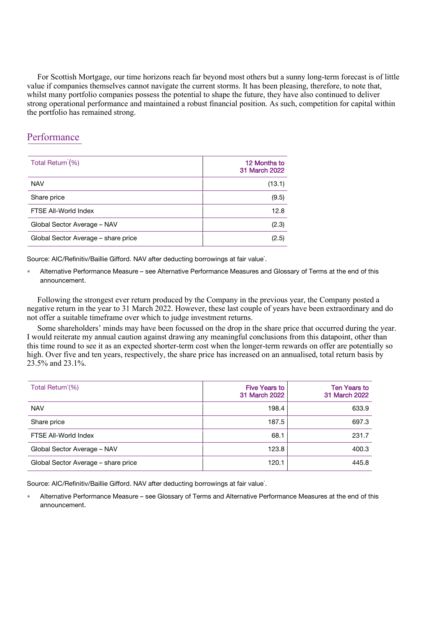For Scottish Mortgage, our time horizons reach far beyond most others but a sunny long-term forecast is of little value if companies themselves cannot navigate the current storms. It has been pleasing, therefore, to note that, whilst many portfolio companies possess the potential to shape the future, they have also continued to deliver strong operational performance and maintained a robust financial position. As such, competition for capital within the portfolio has remained strong.

### Performance

| Total Return <sup>(%)</sup>         | 12 Months to<br>31 March 2022 |
|-------------------------------------|-------------------------------|
| <b>NAV</b>                          | (13.1)                        |
| Share price                         | (9.5)                         |
| FTSE All-World Index                | 12.8                          |
| Global Sector Average - NAV         | (2.3)                         |
| Global Sector Average – share price | (2.5)                         |

Source: AIC/Refinitiv/Baillie Gifford. NAV after deducting borrowings at fair value<sup>\*</sup>.

∗ Alternative Performance Measure – see Alternative Performance Measures and Glossary of Terms at the end of this announcement.

Following the strongest ever return produced by the Company in the previous year, the Company posted a negative return in the year to 31 March 2022. However, these last couple of years have been extraordinary and do not offer a suitable timeframe over which to judge investment returns.

Some shareholders' minds may have been focussed on the drop in the share price that occurred during the year. I would reiterate my annual caution against drawing any meaningful conclusions from this datapoint, other than this time round to see it as an expected shorter-term cost when the longer-term rewards on offer are potentially so high. Over five and ten years, respectively, the share price has increased on an annualised, total return basis by 23.5% and 23.1%.

| Total Return <sup>*</sup> (%)       | <b>Five Years to</b><br><b>31 March 2022</b> | Ten Years to<br>31 March 2022 |
|-------------------------------------|----------------------------------------------|-------------------------------|
| <b>NAV</b>                          | 198.4                                        | 633.9                         |
| Share price                         | 187.5                                        | 697.3                         |
| FTSE All-World Index                | 68.1                                         | 231.7                         |
| Global Sector Average - NAV         | 123.8                                        | 400.3                         |
| Global Sector Average - share price | 120.1                                        | 445.8                         |

Source: AIC/Refinitiv/Baillie Gifford. NAV after deducting borrowings at fair value<sup>\*</sup>.

∗ Alternative Performance Measure – see Glossary of Terms and Alternative Performance Measures at the end of this announcement.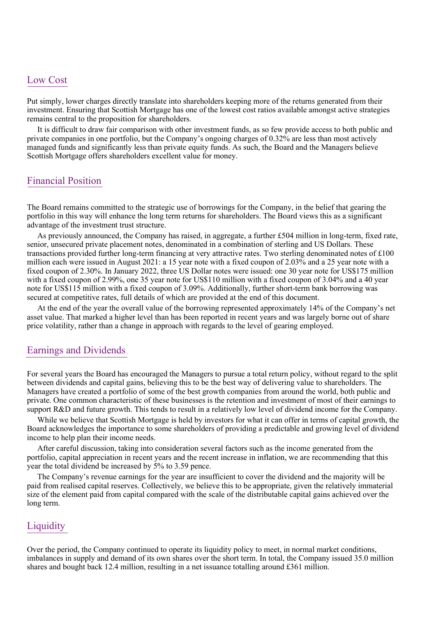#### Low Cost

Put simply, lower charges directly translate into shareholders keeping more of the returns generated from their investment. Ensuring that Scottish Mortgage has one of the lowest cost ratios available amongst active strategies remains central to the proposition for shareholders.

It is difficult to draw fair comparison with other investment funds, as so few provide access to both public and private companies in one portfolio, but the Company's ongoing charges of 0.32% are less than most actively managed funds and significantly less than private equity funds. As such, the Board and the Managers believe Scottish Mortgage offers shareholders excellent value for money.

### Financial Position

The Board remains committed to the strategic use of borrowings for the Company, in the belief that gearing the portfolio in this way will enhance the long term returns for shareholders. The Board views this as a significant advantage of the investment trust structure.

As previously announced, the Company has raised, in aggregate, a further £504 million in long-term, fixed rate, senior, unsecured private placement notes, denominated in a combination of sterling and US Dollars. These transactions provided further long-term financing at very attractive rates. Two sterling denominated notes of £100 million each were issued in August 2021: a 15 year note with a fixed coupon of 2.03% and a 25 year note with a fixed coupon of 2.30%. In January 2022, three US Dollar notes were issued: one 30 year note for US\$175 million with a fixed coupon of 2.99%, one 35 year note for US\$110 million with a fixed coupon of 3.04% and a 40 year note for US\$115 million with a fixed coupon of 3.09%. Additionally, further short-term bank borrowing was secured at competitive rates, full details of which are provided at the end of this document.

At the end of the year the overall value of the borrowing represented approximately 14% of the Company's net asset value. That marked a higher level than has been reported in recent years and was largely borne out of share price volatility, rather than a change in approach with regards to the level of gearing employed.

#### Earnings and Dividends

For several years the Board has encouraged the Managers to pursue a total return policy, without regard to the split between dividends and capital gains, believing this to be the best way of delivering value to shareholders. The Managers have created a portfolio of some of the best growth companies from around the world, both public and private. One common characteristic of these businesses is the retention and investment of most of their earnings to support R&D and future growth. This tends to result in a relatively low level of dividend income for the Company.

While we believe that Scottish Mortgage is held by investors for what it can offer in terms of capital growth, the Board acknowledges the importance to some shareholders of providing a predictable and growing level of dividend income to help plan their income needs.

After careful discussion, taking into consideration several factors such as the income generated from the portfolio, capital appreciation in recent years and the recent increase in inflation, we are recommending that this year the total dividend be increased by 5% to 3.59 pence.

The Company's revenue earnings for the year are insufficient to cover the dividend and the majority will be paid from realised capital reserves. Collectively, we believe this to be appropriate, given the relatively immaterial size of the element paid from capital compared with the scale of the distributable capital gains achieved over the long term.

### **Liquidity**

Over the period, the Company continued to operate its liquidity policy to meet, in normal market conditions, imbalances in supply and demand of its own shares over the short term. In total, the Company issued 35.0 million shares and bought back 12.4 million, resulting in a net issuance totalling around £361 million.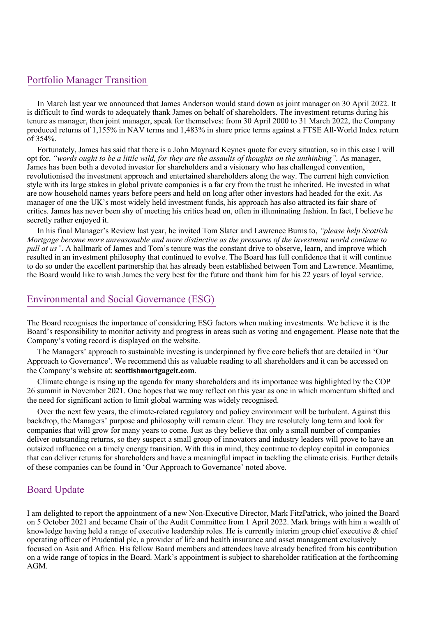### Portfolio Manager Transition

In March last year we announced that James Anderson would stand down as joint manager on 30 April 2022. It is difficult to find words to adequately thank James on behalf of shareholders. The investment returns during his tenure as manager, then joint manager, speak for themselves: from 30 April 2000 to 31 March 2022, the Company produced returns of 1,155% in NAV terms and 1,483% in share price terms against a FTSE All-World Index return of 354%.

Fortunately, James has said that there is a John Maynard Keynes quote for every situation, so in this case I will opt for, *"words ought to be a little wild, for they are the assaults of thoughts on the unthinking".* As manager, James has been both a devoted investor for shareholders and a visionary who has challenged convention, revolutionised the investment approach and entertained shareholders along the way. The current high conviction style with its large stakes in global private companies is a far cry from the trust he inherited. He invested in what are now household names years before peers and held on long after other investors had headed for the exit. As manager of one the UK's most widely held investment funds, his approach has also attracted its fair share of critics. James has never been shy of meeting his critics head on, often in illuminating fashion. In fact, I believe he secretly rather enjoyed it.

In his final Manager's Review last year, he invited Tom Slater and Lawrence Burns to, *"please help Scottish Mortgage become more unreasonable and more distinctive as the pressures of the investment world continue to pull at us"*. A hallmark of James and Tom's tenure was the constant drive to observe, learn, and improve which resulted in an investment philosophy that continued to evolve. The Board has full confidence that it will continue to do so under the excellent partnership that has already been established between Tom and Lawrence. Meantime, the Board would like to wish James the very best for the future and thank him for his 22 years of loyal service.

### Environmental and Social Governance (ESG)

The Board recognises the importance of considering ESG factors when making investments. We believe it is the Board's responsibility to monitor activity and progress in areas such as voting and engagement. Please note that the Company's voting record is displayed on the website.

The Managers' approach to sustainable investing is underpinned by five core beliefs that are detailed in 'Our Approach to Governance'. We recommend this as valuable reading to all shareholders and it can be accessed on the Company's website at: **scottishmortgageit.com**.

Climate change is rising up the agenda for many shareholders and its importance was highlighted by the COP 26 summit in November 2021. One hopes that we may reflect on this year as one in which momentum shifted and the need for significant action to limit global warming was widely recognised.

Over the next few years, the climate-related regulatory and policy environment will be turbulent. Against this backdrop, the Managers' purpose and philosophy will remain clear. They are resolutely long term and look for companies that will grow for many years to come. Just as they believe that only a small number of companies deliver outstanding returns, so they suspect a small group of innovators and industry leaders will prove to have an outsized influence on a timely energy transition. With this in mind, they continue to deploy capital in companies that can deliver returns for shareholders and have a meaningful impact in tackling the climate crisis. Further details of these companies can be found in 'Our Approach to Governance' noted above.

#### Board Update

I am delighted to report the appointment of a new Non-Executive Director, Mark FitzPatrick, who joined the Board on 5 October 2021 and became Chair of the Audit Committee from 1 April 2022. Mark brings with him a wealth of knowledge having held a range of executive leadership roles. He is currently interim group chief executive & chief operating officer of Prudential plc, a provider of life and health insurance and asset management exclusively focused on Asia and Africa. His fellow Board members and attendees have already benefited from his contribution on a wide range of topics in the Board. Mark's appointment is subject to shareholder ratification at the forthcoming AGM.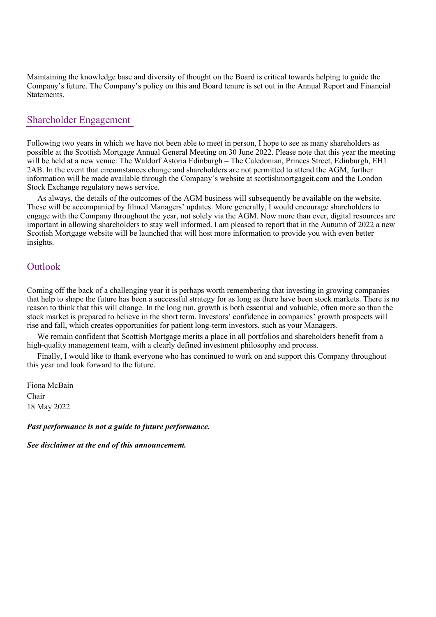Maintaining the knowledge base and diversity of thought on the Board is critical towards helping to guide the Company's future. The Company's policy on this and Board tenure is set out in the Annual Report and Financial Statements.

### Shareholder Engagement

Following two years in which we have not been able to meet in person, I hope to see as many shareholders as possible at the Scottish Mortgage Annual General Meeting on 30 June 2022. Please note that this year the meeting will be held at a new venue: The Waldorf Astoria Edinburgh – The Caledonian, Princes Street, Edinburgh, EH1 2AB. In the event that circumstances change and shareholders are not permitted to attend the AGM, further information will be made available through the Company's website at scottishmortgageit.com and the London Stock Exchange regulatory news service.

As always, the details of the outcomes of the AGM business will subsequently be available on the website. These will be accompanied by filmed Managers' updates. More generally, I would encourage shareholders to engage with the Company throughout the year, not solely via the AGM. Now more than ever, digital resources are important in allowing shareholders to stay well informed. I am pleased to report that in the Autumn of 2022 a new Scottish Mortgage website will be launched that will host more information to provide you with even better insights.

### Outlook

Coming off the back of a challenging year it is perhaps worth remembering that investing in growing companies that help to shape the future has been a successful strategy for as long as there have been stock markets. There is no reason to think that this will change. In the long run, growth is both essential and valuable, often more so than the stock market is prepared to believe in the short term. Investors' confidence in companies' growth prospects will rise and fall, which creates opportunities for patient long-term investors, such as your Managers.

We remain confident that Scottish Mortgage merits a place in all portfolios and shareholders benefit from a high-quality management team, with a clearly defined investment philosophy and process.

Finally, I would like to thank everyone who has continued to work on and support this Company throughout this year and look forward to the future.

Fiona McBain Chair 18 May 2022

#### *Past performance is not a guide to future performance.*

*See disclaimer at the end of this announcement.*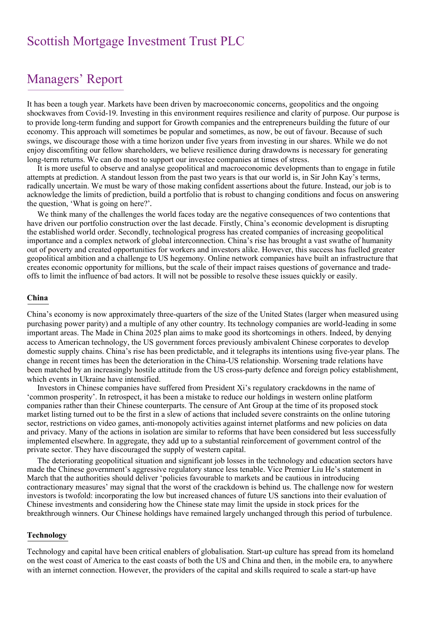### Managers' Report

It has been a tough year. Markets have been driven by macroeconomic concerns, geopolitics and the ongoing shockwaves from Covid-19. Investing in this environment requires resilience and clarity of purpose. Our purpose is to provide long-term funding and support for Growth companies and the entrepreneurs building the future of our economy. This approach will sometimes be popular and sometimes, as now, be out of favour. Because of such swings, we discourage those with a time horizon under five years from investing in our shares. While we do not enjoy discomfiting our fellow shareholders, we believe resilience during drawdowns is necessary for generating long-term returns. We can do most to support our investee companies at times of stress.

It is more useful to observe and analyse geopolitical and macroeconomic developments than to engage in futile attempts at prediction. A standout lesson from the past two years is that our world is, in Sir John Kay's terms, radically uncertain. We must be wary of those making confident assertions about the future. Instead, our job is to acknowledge the limits of prediction, build a portfolio that is robust to changing conditions and focus on answering the question, 'What is going on here?'.

We think many of the challenges the world faces today are the negative consequences of two contentions that have driven our portfolio construction over the last decade. Firstly, China's economic development is disrupting the established world order. Secondly, technological progress has created companies of increasing geopolitical importance and a complex network of global interconnection. China's rise has brought a vast swathe of humanity out of poverty and created opportunities for workers and investors alike. However, this success has fuelled greater geopolitical ambition and a challenge to US hegemony. Online network companies have built an infrastructure that creates economic opportunity for millions, but the scale of their impact raises questions of governance and tradeoffs to limit the influence of bad actors. It will not be possible to resolve these issues quickly or easily.

#### **China**

China's economy is now approximately three-quarters of the size of the United States (larger when measured using purchasing power parity) and a multiple of any other country. Its technology companies are world-leading in some important areas. The Made in China 2025 plan aims to make good its shortcomings in others. Indeed, by denying access to American technology, the US government forces previously ambivalent Chinese corporates to develop domestic supply chains. China's rise has been predictable, and it telegraphs its intentions using five-year plans. The change in recent times has been the deterioration in the China-US relationship. Worsening trade relations have been matched by an increasingly hostile attitude from the US cross-party defence and foreign policy establishment, which events in Ukraine have intensified.

Investors in Chinese companies have suffered from President Xi's regulatory crackdowns in the name of 'common prosperity'. In retrospect, it has been a mistake to reduce our holdings in western online platform companies rather than their Chinese counterparts. The censure of Ant Group at the time of its proposed stock market listing turned out to be the first in a slew of actions that included severe constraints on the online tutoring sector, restrictions on video games, anti-monopoly activities against internet platforms and new policies on data and privacy. Many of the actions in isolation are similar to reforms that have been considered but less successfully implemented elsewhere. In aggregate, they add up to a substantial reinforcement of government control of the private sector. They have discouraged the supply of western capital.

The deteriorating geopolitical situation and significant job losses in the technology and education sectors have made the Chinese government's aggressive regulatory stance less tenable. Vice Premier Liu He's statement in March that the authorities should deliver 'policies favourable to markets and be cautious in introducing contractionary measures' may signal that the worst of the crackdown is behind us. The challenge now for western investors is twofold: incorporating the low but increased chances of future US sanctions into their evaluation of Chinese investments and considering how the Chinese state may limit the upside in stock prices for the breakthrough winners. Our Chinese holdings have remained largely unchanged through this period of turbulence.

#### **Technology**

Technology and capital have been critical enablers of globalisation. Start-up culture has spread from its homeland on the west coast of America to the east coasts of both the US and China and then, in the mobile era, to anywhere with an internet connection. However, the providers of the capital and skills required to scale a start-up have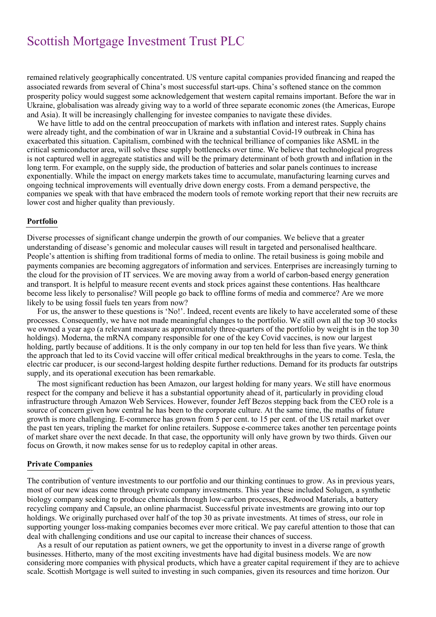remained relatively geographically concentrated. US venture capital companies provided financing and reaped the associated rewards from several of China's most successful start-ups. China's softened stance on the common prosperity policy would suggest some acknowledgement that western capital remains important. Before the war in Ukraine, globalisation was already giving way to a world of three separate economic zones (the Americas, Europe and Asia). It will be increasingly challenging for investee companies to navigate these divides.

We have little to add on the central preoccupation of markets with inflation and interest rates. Supply chains were already tight, and the combination of war in Ukraine and a substantial Covid-19 outbreak in China has exacerbated this situation. Capitalism, combined with the technical brilliance of companies like ASML in the critical semiconductor area, will solve these supply bottlenecks over time. We believe that technological progress is not captured well in aggregate statistics and will be the primary determinant of both growth and inflation in the long term. For example, on the supply side, the production of batteries and solar panels continues to increase exponentially. While the impact on energy markets takes time to accumulate, manufacturing learning curves and ongoing technical improvements will eventually drive down energy costs. From a demand perspective, the companies we speak with that have embraced the modern tools of remote working report that their new recruits are lower cost and higher quality than previously.

#### **Portfolio**

Diverse processes of significant change underpin the growth of our companies. We believe that a greater understanding of disease's genomic and molecular causes will result in targeted and personalised healthcare. People's attention is shifting from traditional forms of media to online. The retail business is going mobile and payments companies are becoming aggregators of information and services. Enterprises are increasingly turning to the cloud for the provision of IT services. We are moving away from a world of carbon-based energy generation and transport. It is helpful to measure recent events and stock prices against these contentions. Has healthcare become less likely to personalise? Will people go back to offline forms of media and commerce? Are we more likely to be using fossil fuels ten years from now?

For us, the answer to these questions is 'No!'. Indeed, recent events are likely to have accelerated some of these processes. Consequently, we have not made meaningful changes to the portfolio. We still own all the top 30 stocks we owned a year ago (a relevant measure as approximately three-quarters of the portfolio by weight is in the top 30 holdings). Moderna, the mRNA company responsible for one of the key Covid vaccines, is now our largest holding, partly because of additions. It is the only company in our top ten held for less than five years. We think the approach that led to its Covid vaccine will offer critical medical breakthroughs in the years to come. Tesla, the electric car producer, is our second-largest holding despite further reductions. Demand for its products far outstrips supply, and its operational execution has been remarkable.

The most significant reduction has been Amazon, our largest holding for many years. We still have enormous respect for the company and believe it has a substantial opportunity ahead of it, particularly in providing cloud infrastructure through Amazon Web Services. However, founder Jeff Bezos stepping back from the CEO role is a source of concern given how central he has been to the corporate culture. At the same time, the maths of future growth is more challenging. E-commerce has grown from 5 per cent. to 15 per cent. of the US retail market over the past ten years, tripling the market for online retailers. Suppose e-commerce takes another ten percentage points of market share over the next decade. In that case, the opportunity will only have grown by two thirds. Given our focus on Growth, it now makes sense for us to redeploy capital in other areas.

#### **Private Companies**

The contribution of venture investments to our portfolio and our thinking continues to grow. As in previous years, most of our new ideas come through private company investments. This year these included Solugen, a synthetic biology company seeking to produce chemicals through low-carbon processes, Redwood Materials, a battery recycling company and Capsule, an online pharmacist. Successful private investments are growing into our top holdings. We originally purchased over half of the top 30 as private investments. At times of stress, our role in supporting younger loss-making companies becomes ever more critical. We pay careful attention to those that can deal with challenging conditions and use our capital to increase their chances of success.

As a result of our reputation as patient owners, we get the opportunity to invest in a diverse range of growth businesses. Hitherto, many of the most exciting investments have had digital business models. We are now considering more companies with physical products, which have a greater capital requirement if they are to achieve scale. Scottish Mortgage is well suited to investing in such companies, given its resources and time horizon. Our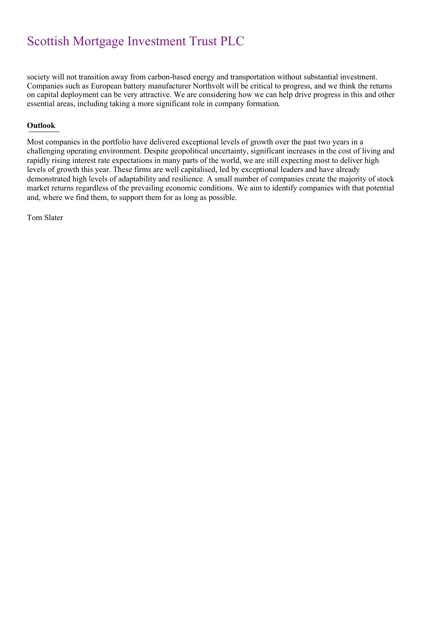society will not transition away from carbon-based energy and transportation without substantial investment. Companies such as European battery manufacturer Northvolt will be critical to progress, and we think the returns on capital deployment can be very attractive. We are considering how we can help drive progress in this and other essential areas, including taking a more significant role in company formation.

#### **Outlook**

Most companies in the portfolio have delivered exceptional levels of growth over the past two years in a challenging operating environment. Despite geopolitical uncertainty, significant increases in the cost of living and rapidly rising interest rate expectations in many parts of the world, we are still expecting most to deliver high levels of growth this year. These firms are well capitalised, led by exceptional leaders and have already demonstrated high levels of adaptability and resilience. A small number of companies create the majority of stock market returns regardless of the prevailing economic conditions. We aim to identify companies with that potential and, where we find them, to support them for as long as possible.

Tom Slater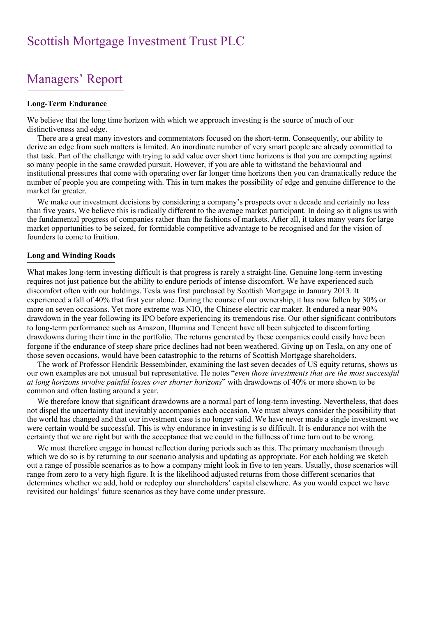### Managers' Report

#### **Long-Term Endurance**

We believe that the long time horizon with which we approach investing is the source of much of our distinctiveness and edge.

There are a great many investors and commentators focused on the short-term. Consequently, our ability to derive an edge from such matters is limited. An inordinate number of very smart people are already committed to that task. Part of the challenge with trying to add value over short time horizons is that you are competing against so many people in the same crowded pursuit. However, if you are able to withstand the behavioural and institutional pressures that come with operating over far longer time horizons then you can dramatically reduce the number of people you are competing with. This in turn makes the possibility of edge and genuine difference to the market far greater.

We make our investment decisions by considering a company's prospects over a decade and certainly no less than five years. We believe this is radically different to the average market participant. In doing so it aligns us with the fundamental progress of companies rather than the fashions of markets. After all, it takes many years for large market opportunities to be seized, for formidable competitive advantage to be recognised and for the vision of founders to come to fruition.

#### **Long and Winding Roads**

What makes long-term investing difficult is that progress is rarely a straight-line. Genuine long-term investing requires not just patience but the ability to endure periods of intense discomfort. We have experienced such discomfort often with our holdings. Tesla was first purchased by Scottish Mortgage in January 2013. It experienced a fall of 40% that first year alone. During the course of our ownership, it has now fallen by 30% or more on seven occasions. Yet more extreme was NIO, the Chinese electric car maker. It endured a near 90% drawdown in the year following its IPO before experiencing its tremendous rise. Our other significant contributors to long-term performance such as Amazon, Illumina and Tencent have all been subjected to discomforting drawdowns during their time in the portfolio. The returns generated by these companies could easily have been forgone if the endurance of steep share price declines had not been weathered. Giving up on Tesla, on any one of those seven occasions, would have been catastrophic to the returns of Scottish Mortgage shareholders.

The work of Professor Hendrik Bessembinder, examining the last seven decades of US equity returns, shows us our own examples are not unusual but representative. He notes "*even those investments that are the most successful at long horizons involve painful losses over shorter horizons*" with drawdowns of 40% or more shown to be common and often lasting around a year.

We therefore know that significant drawdowns are a normal part of long-term investing. Nevertheless, that does not dispel the uncertainty that inevitably accompanies each occasion. We must always consider the possibility that the world has changed and that our investment case is no longer valid. We have never made a single investment we were certain would be successful. This is why endurance in investing is so difficult. It is endurance not with the certainty that we are right but with the acceptance that we could in the fullness of time turn out to be wrong.

We must therefore engage in honest reflection during periods such as this. The primary mechanism through which we do so is by returning to our scenario analysis and updating as appropriate. For each holding we sketch out a range of possible scenarios as to how a company might look in five to ten years. Usually, those scenarios will range from zero to a very high figure. It is the likelihood adjusted returns from those different scenarios that determines whether we add, hold or redeploy our shareholders' capital elsewhere. As you would expect we have revisited our holdings' future scenarios as they have come under pressure.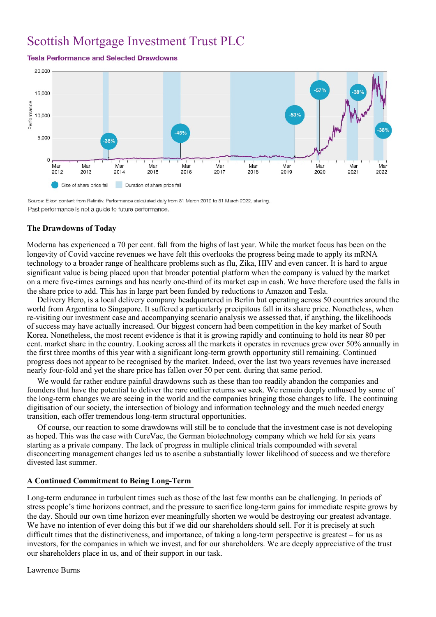

Source: Eikon content from Refinitiv. Performance calculated daily from 31 March 2012 to 31 March 2022, sterling Past performance is not a guide to future performance.

#### **The Drawdowns of Today**

Moderna has experienced a 70 per cent. fall from the highs of last year. While the market focus has been on the longevity of Covid vaccine revenues we have felt this overlooks the progress being made to apply its mRNA technology to a broader range of healthcare problems such as flu, Zika, HIV and even cancer. It is hard to argue significant value is being placed upon that broader potential platform when the company is valued by the market on a mere five-times earnings and has nearly one-third of its market cap in cash. We have therefore used the falls in the share price to add. This has in large part been funded by reductions to Amazon and Tesla.

Delivery Hero, is a local delivery company headquartered in Berlin but operating across 50 countries around the world from Argentina to Singapore. It suffered a particularly precipitous fall in its share price. Nonetheless, when re-visiting our investment case and accompanying scenario analysis we assessed that, if anything, the likelihoods of success may have actually increased. Our biggest concern had been competition in the key market of South Korea. Nonetheless, the most recent evidence is that it is growing rapidly and continuing to hold its near 80 per cent. market share in the country. Looking across all the markets it operates in revenues grew over 50% annually in the first three months of this year with a significant long-term growth opportunity still remaining. Continued progress does not appear to be recognised by the market. Indeed, over the last two years revenues have increased nearly four-fold and yet the share price has fallen over 50 per cent. during that same period.

We would far rather endure painful drawdowns such as these than too readily abandon the companies and founders that have the potential to deliver the rare outlier returns we seek. We remain deeply enthused by some of the long-term changes we are seeing in the world and the companies bringing those changes to life. The continuing digitisation of our society, the intersection of biology and information technology and the much needed energy transition, each offer tremendous long-term structural opportunities.

Of course, our reaction to some drawdowns will still be to conclude that the investment case is not developing as hoped. This was the case with CureVac, the German biotechnology company which we held for six years starting as a private company. The lack of progress in multiple clinical trials compounded with several disconcerting management changes led us to ascribe a substantially lower likelihood of success and we therefore divested last summer.

#### **A Continued Commitment to Being Long-Term**

Long-term endurance in turbulent times such as those of the last few months can be challenging. In periods of stress people's time horizons contract, and the pressure to sacrifice long-term gains for immediate respite grows by the day. Should our own time horizon ever meaningfully shorten we would be destroying our greatest advantage. We have no intention of ever doing this but if we did our shareholders should sell. For it is precisely at such difficult times that the distinctiveness, and importance, of taking a long-term perspective is greatest – for us as investors, for the companies in which we invest, and for our shareholders. We are deeply appreciative of the trust our shareholders place in us, and of their support in our task.

Lawrence Burns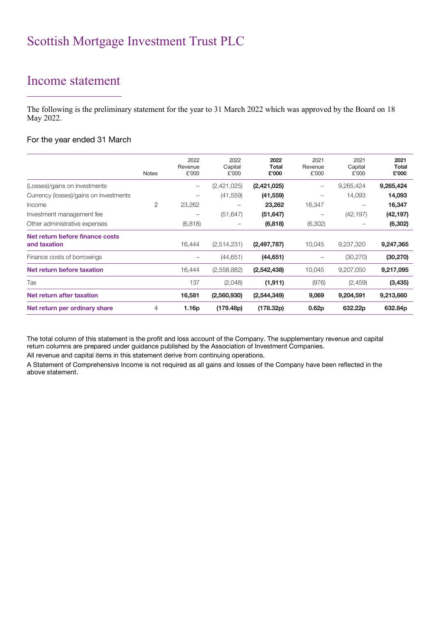### Income statement

The following is the preliminary statement for the year to 31 March 2022 which was approved by the Board on 18 May 2022.

### For the year ended 31 March

|                                        | <b>Notes</b> | 2022<br>Revenue<br>£'000 | 2022<br>Capital<br>£'000 | 2022<br>Total<br>£'000 | 2021<br>Revenue<br>£'000 | 2021<br>Capital<br>£'000 | 2021<br>Total<br>£'000 |
|----------------------------------------|--------------|--------------------------|--------------------------|------------------------|--------------------------|--------------------------|------------------------|
| (Losses)/gains on investments          |              | -                        | (2,421,025)              | (2,421,025)            |                          | 9,265,424                | 9,265,424              |
| Currency (losses)/gains on investments |              |                          | (41, 559)                | (41, 559)              |                          | 14,093                   | 14,093                 |
| Income                                 | 2            | 23,262                   |                          | 23,262                 | 16,347                   |                          | 16,347                 |
| Investment management fee              |              | -                        | (51, 647)                | (51, 647)              | $\qquad \qquad -$        | (42, 197)                | (42, 197)              |
| Other administrative expenses          |              | (6,818)                  |                          | (6, 818)               | (6,302)                  |                          | (6, 302)               |
| Net return before finance costs        |              |                          |                          |                        |                          |                          |                        |
| and taxation                           |              | 16,444                   | (2,514,231)              | (2,497,787)            | 10,045                   | 9,237,320                | 9,247,365              |
| Finance costs of borrowings            |              |                          | (44, 651)                | (44, 651)              |                          | (30, 270)                | (30, 270)              |
| Net return before taxation             |              | 16,444                   | (2,558,882)              | (2,542,438)            | 10,045                   | 9,207,050                | 9,217,095              |
| Tax                                    |              | 137                      | (2,048)                  | (1,911)                | (976)                    | (2,459)                  | (3, 435)               |
| Net return after taxation              |              | 16,581                   | (2,560,930)              | (2,544,349)            | 9,069                    | 9,204,591                | 9,213,660              |
| Net return per ordinary share          | 4            | 1.16p                    | (179.48p)                | (178.32p)              | 0.62 <sub>p</sub>        | 632.22p                  | 632.84p                |

The total column of this statement is the profit and loss account of the Company. The supplementary revenue and capital return columns are prepared under guidance published by the Association of Investment Companies.

All revenue and capital items in this statement derive from continuing operations.

A Statement of Comprehensive Income is not required as all gains and losses of the Company have been reflected in the above statement.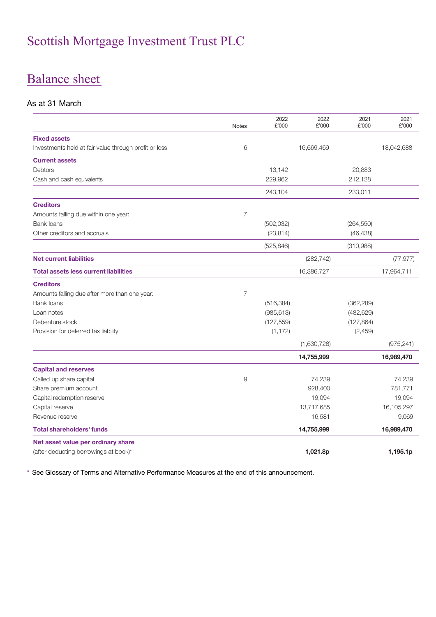## Balance sheet

#### As at 31 March

|                                                       | <b>Notes</b> | 2022<br>£'000 | 2022<br>£'000 | 2021<br>£'000 | 2021<br>£'000 |
|-------------------------------------------------------|--------------|---------------|---------------|---------------|---------------|
| <b>Fixed assets</b>                                   |              |               |               |               |               |
| Investments held at fair value through profit or loss | 6            |               | 16,669,469    |               | 18,042,688    |
| <b>Current assets</b>                                 |              |               |               |               |               |
| <b>Debtors</b>                                        |              | 13,142        |               | 20,883        |               |
| Cash and cash equivalents                             |              | 229,962       |               | 212,128       |               |
|                                                       |              | 243,104       |               | 233,011       |               |
| <b>Creditors</b>                                      |              |               |               |               |               |
| Amounts falling due within one year:                  | 7            |               |               |               |               |
| <b>Bank loans</b>                                     |              | (502,032)     |               | (264, 550)    |               |
| Other creditors and accruals                          |              | (23, 814)     |               | (46, 438)     |               |
|                                                       |              | (525, 846)    |               | (310,988)     |               |
| <b>Net current liabilities</b>                        |              |               | (282, 742)    |               | (77, 977)     |
| <b>Total assets less current liabilities</b>          |              |               | 16,386,727    |               | 17,964,711    |
| <b>Creditors</b>                                      |              |               |               |               |               |
| Amounts falling due after more than one year:         | 7            |               |               |               |               |
| Bank loans                                            |              | (516, 384)    |               | (362, 289)    |               |
| Loan notes                                            |              | (985, 613)    |               | (482, 629)    |               |
| Debenture stock                                       |              | (127, 559)    |               | (127, 864)    |               |
| Provision for deferred tax liability                  |              | (1, 172)      |               | (2,459)       |               |
|                                                       |              |               | (1,630,728)   |               | (975, 241)    |
|                                                       |              |               | 14,755,999    |               | 16,989,470    |
| <b>Capital and reserves</b>                           |              |               |               |               |               |
| Called up share capital                               | 9            |               | 74,239        |               | 74,239        |
| Share premium account                                 |              |               | 928,400       |               | 781,771       |
| Capital redemption reserve                            |              |               | 19,094        |               | 19,094        |
| Capital reserve                                       |              |               | 13,717,685    |               | 16,105,297    |
| Revenue reserve                                       |              |               | 16,581        |               | 9,069         |
| <b>Total shareholders' funds</b>                      |              |               | 14,755,999    |               | 16,989,470    |
| Net asset value per ordinary share                    |              |               |               |               |               |
| (after deducting borrowings at book)*                 |              |               | 1,021.8p      |               | 1,195.1p      |

\* See Glossary of Terms and Alternative Performance Measures at the end of this announcement.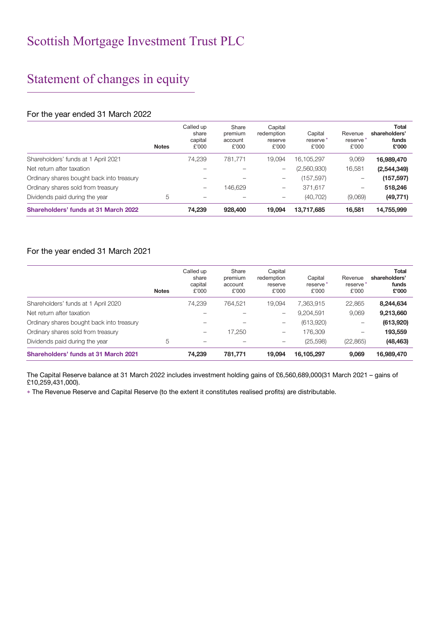## Statement of changes in equity

#### For the year ended 31 March 2022

|                                           | <b>Notes</b> | Called up<br>share<br>capital<br>£'000 | Share<br>premium<br>account<br>£'000 | Capital<br>redemption<br>reserve<br>£'000 | Capital<br>reserve'<br>£'000 | Revenue<br>reserve <sup>'</sup><br>£'000 | <b>Total</b><br>shareholders'<br>funds<br>£'000 |
|-------------------------------------------|--------------|----------------------------------------|--------------------------------------|-------------------------------------------|------------------------------|------------------------------------------|-------------------------------------------------|
| Shareholders' funds at 1 April 2021       |              | 74.239                                 | 781.771                              | 19.094                                    | 16,105,297                   | 9.069                                    | 16,989,470                                      |
| Net return after taxation                 |              |                                        |                                      | -                                         | (2,560,930)                  | 16,581                                   | (2,544,349)                                     |
| Ordinary shares bought back into treasury |              |                                        |                                      | -                                         | (157, 597)                   |                                          | (157, 597)                                      |
| Ordinary shares sold from treasury        |              | -                                      | 146.629                              | -                                         | 371,617                      |                                          | 518,246                                         |
| Dividends paid during the year            | 5            | -                                      |                                      | -                                         | (40, 702)                    | (9,069)                                  | (49, 771)                                       |
| Shareholders' funds at 31 March 2022      |              | 74,239                                 | 928,400                              | 19,094                                    | 13,717,685                   | 16,581                                   | 14,755,999                                      |

#### For the year ended 31 March 2021

|                                             | <b>Notes</b> | Called up<br>share<br>capital<br>£'000 | Share<br>premium<br>account<br>£'000 | Capital<br>redemption<br>reserve<br>£'000 | Capital<br>reserve <sup>*</sup><br>£'000 | Revenue<br>reserve *<br>£'000 | <b>Total</b><br>shareholders'<br>funds<br>£'000 |
|---------------------------------------------|--------------|----------------------------------------|--------------------------------------|-------------------------------------------|------------------------------------------|-------------------------------|-------------------------------------------------|
| Shareholders' funds at 1 April 2020         |              | 74.239                                 | 764.521                              | 19.094                                    | 7,363,915                                | 22,865                        | 8,244,634                                       |
| Net return after taxation                   |              |                                        |                                      | $\qquad \qquad$                           | 9.204.591                                | 9.069                         | 9,213,660                                       |
| Ordinary shares bought back into treasury   |              |                                        |                                      | -                                         | (613,920)                                |                               | (613,920)                                       |
| Ordinary shares sold from treasury          |              |                                        | 17.250                               | -                                         | 176,309                                  |                               | 193,559                                         |
| Dividends paid during the year              | 5            | -                                      |                                      | $\qquad \qquad -$                         | (25,598)                                 | (22, 865)                     | (48, 463)                                       |
| <b>Shareholders' funds at 31 March 2021</b> |              | 74,239                                 | 781,771                              | 19.094                                    | 16,105,297                               | 9.069                         | 16,989,470                                      |

The Capital Reserve balance at 31 March 2022 includes investment holding gains of £6,560,689,000(31 March 2021 – gains of £10,259,431,000).

∗ The Revenue Reserve and Capital Reserve (to the extent it constitutes realised profits) are distributable.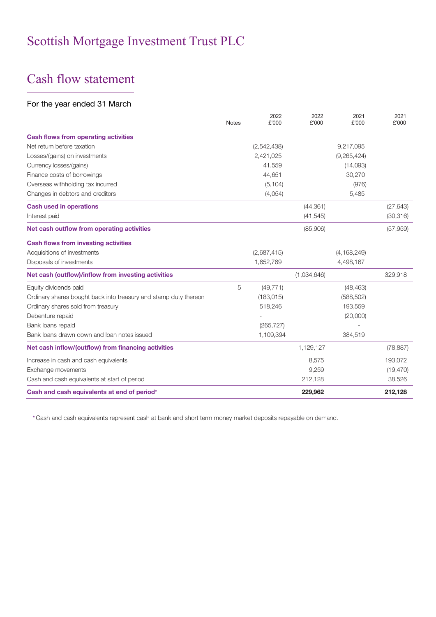## Cash flow statement

### For the year ended 31 March

|                                                                  | <b>Notes</b> | 2022<br>£'000 | 2022<br>£'000 | 2021<br>£'000 | 2021<br>£'000 |
|------------------------------------------------------------------|--------------|---------------|---------------|---------------|---------------|
| <b>Cash flows from operating activities</b>                      |              |               |               |               |               |
| Net return before taxation                                       |              | (2,542,438)   |               | 9,217,095     |               |
| Losses/(gains) on investments                                    |              | 2,421,025     |               | (9,265,424)   |               |
| Currency losses/(gains)                                          |              | 41,559        |               | (14,093)      |               |
| Finance costs of borrowings                                      |              | 44,651        |               | 30,270        |               |
| Overseas withholding tax incurred                                |              | (5, 104)      |               | (976)         |               |
| Changes in debtors and creditors                                 |              | (4,054)       |               | 5,485         |               |
| <b>Cash used in operations</b>                                   |              |               | (44, 361)     |               | (27, 643)     |
| Interest paid                                                    |              |               | (41, 545)     |               | (30, 316)     |
| Net cash outflow from operating activities                       |              |               | (85,906)      |               | (57, 959)     |
| <b>Cash flows from investing activities</b>                      |              |               |               |               |               |
| Acquisitions of investments                                      |              | (2,687,415)   |               | (4, 168, 249) |               |
| Disposals of investments                                         |              | 1,652,769     |               | 4,498,167     |               |
| Net cash (outflow)/inflow from investing activities              |              |               | (1,034,646)   |               | 329,918       |
| Equity dividends paid                                            | 5            | (49, 771)     |               | (48, 463)     |               |
| Ordinary shares bought back into treasury and stamp duty thereon |              | (183, 015)    |               | (588, 502)    |               |
| Ordinary shares sold from treasury                               |              | 518,246       |               | 193,559       |               |
| Debenture repaid                                                 |              |               |               | (20,000)      |               |
| Bank loans repaid                                                |              | (265, 727)    |               |               |               |
| Bank loans drawn down and loan notes issued                      |              | 1,109,394     |               | 384,519       |               |
| Net cash inflow/(outflow) from financing activities              |              |               | 1,129,127     |               | (78, 887)     |
| Increase in cash and cash equivalents                            |              |               | 8,575         |               | 193,072       |
| Exchange movements                                               |              |               | 9,259         |               | (19, 470)     |
| Cash and cash equivalents at start of period                     |              |               | 212,128       |               | 38,526        |
| Cash and cash equivalents at end of period*                      |              |               | 229,962       |               | 212,128       |

\* Cash and cash equivalents represent cash at bank and short term money market deposits repayable on demand.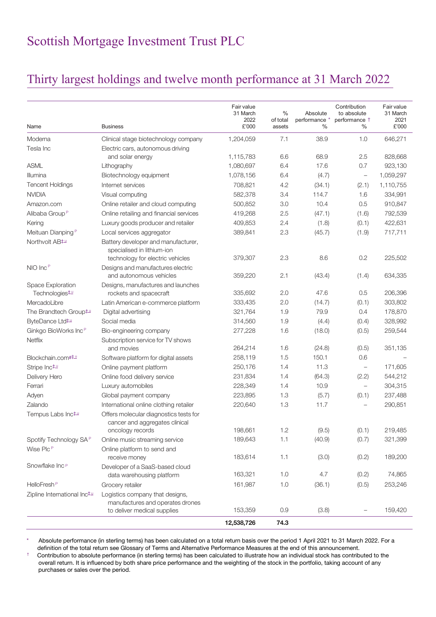## Thirty largest holdings and twelve month performance at 31 March 2022

| Name                                            | <b>Business</b>                                                                                       | Fair value<br>31 March<br>2022<br>£'000 | $\%$<br>of total<br>assets | Absolute<br>performance<br>$\frac{0}{0}$ | Contribution<br>to absolute<br>performance +<br>$\%$ | Fair value<br>31 March<br>2021<br>£'000 |
|-------------------------------------------------|-------------------------------------------------------------------------------------------------------|-----------------------------------------|----------------------------|------------------------------------------|------------------------------------------------------|-----------------------------------------|
| Moderna                                         | Clinical stage biotechnology company                                                                  | 1,204,059                               | 7.1                        | 38.9                                     | 1.0                                                  | 646,271                                 |
| Tesla Inc                                       | Electric cars, autonomous driving                                                                     |                                         |                            |                                          |                                                      |                                         |
|                                                 | and solar energy                                                                                      | 1,115,783                               | 6.6                        | 68.9                                     | 2.5                                                  | 828,668                                 |
| <b>ASML</b>                                     | Lithography                                                                                           | 1,080,697                               | 6.4                        | 17.6                                     | 0.7                                                  | 923,130                                 |
| Illumina                                        | Biotechnology equipment                                                                               | 1,078,156                               | 6.4                        | (4.7)                                    | $\overline{\phantom{m}}$                             | 1,059,297                               |
| <b>Tencent Holdings</b>                         | Internet services                                                                                     | 708,821                                 | 4.2                        | (34.1)                                   | (2.1)                                                | 1,110,755                               |
| <b>NVIDIA</b>                                   | Visual computing                                                                                      | 582,378                                 | 3.4                        | 114.7                                    | 1.6                                                  | 334,991                                 |
| Amazon.com                                      | Online retailer and cloud computing                                                                   | 500,852                                 | 3.0                        | 10.4                                     | 0.5                                                  | 910,847                                 |
| Alibaba Group <sup>P</sup>                      | Online retailing and financial services                                                               | 419,268                                 | 2.5                        | (47.1)                                   | (1.6)                                                | 792,539                                 |
| Kering                                          | Luxury goods producer and retailer                                                                    | 409,853                                 | 2.4                        | (1.8)                                    | (0.1)                                                | 422,631                                 |
| Meituan Dianping <sup>P</sup>                   | Local services aggregator                                                                             | 389,841                                 | 2.3                        | (45.7)                                   | (1.9)                                                | 717,711                                 |
| Northvolt AB <sup>#4</sup>                      | Battery developer and manufacturer,<br>specialised in lithium-ion<br>technology for electric vehicles | 379,307                                 | 2.3                        | 8.6                                      | 0.2                                                  | 225,502                                 |
| NIO Inc <sup>P</sup>                            | Designs and manufactures electric<br>and autonomous vehicles                                          | 359,220                                 | 2.1                        | (43.4)                                   | (1.4)                                                | 634,335                                 |
| Space Exploration<br>Technologies <sup>#4</sup> | Designs, manufactures and launches<br>rockets and spacecraft                                          | 335,692                                 | 2.0                        | 47.6                                     | 0.5                                                  | 206,396                                 |
| MercadoLibre                                    | Latin American e-commerce platform                                                                    | 333,435                                 | 2.0                        | (14.7)                                   | (0.1)                                                | 303,802                                 |
| The Brandtech Group#                            | Digital advertising                                                                                   | 321,764                                 | 1.9                        | 79.9                                     | 0.4                                                  | 178,870                                 |
| ByteDance Ltd <sup>#4</sup>                     | Social media                                                                                          | 314,560                                 | 1.9                        | (4.4)                                    | (0.4)                                                | 328,992                                 |
| Ginkgo BioWorks Inc <sup>P</sup>                | Bio-engineering company                                                                               | 277,228                                 | 1.6                        | (18.0)                                   | (0.5)                                                | 259,544                                 |
| Netflix                                         | Subscription service for TV shows<br>and movies                                                       | 264,214                                 | 1.6                        | (24.8)                                   | (0.5)                                                | 351,135                                 |
| Blockchain.com##                                | Software platform for digital assets                                                                  | 258,119                                 | 1.5                        | 150.1                                    | 0.6                                                  |                                         |
| Stripe Inc <sup>#4</sup>                        | Online payment platform                                                                               | 250,176                                 | 1.4                        | 11.3                                     | $\overline{\phantom{m}}$                             | 171,605                                 |
| Delivery Hero                                   | Online food delivery service                                                                          | 231,834                                 | 1.4                        | (64.3)                                   | (2.2)                                                | 544,212                                 |
| Ferrari                                         | Luxury automobiles                                                                                    | 228,349                                 | 1.4                        | 10.9                                     | $\overline{\phantom{m}}$                             | 304,315                                 |
| Adyen                                           | Global payment company                                                                                | 223,895                                 | 1.3                        | (5.7)                                    | (0.1)                                                | 237,488                                 |
| Zalando                                         | International online clothing retailer                                                                | 220,640                                 | 1.3                        | 11.7                                     |                                                      | 290,851                                 |
| Tempus Labs Inc‡ <sup>⊥</sup>                   | Offers molecular diagnostics tests for<br>cancer and aggregates clinical                              |                                         |                            |                                          |                                                      |                                         |
|                                                 | oncology records                                                                                      | 198,661                                 | 1.2                        | (9.5)                                    | (0.1)                                                | 219,485                                 |
| Spotify Technology SAP<br>Wise Plc <sup>P</sup> | Online music streaming service<br>Online platform to send and                                         | 189,643                                 | 1.1                        | (40.9)                                   | (0.7)                                                | 321,399                                 |
|                                                 | receive money                                                                                         | 183,614                                 | 1.1                        | (3.0)                                    | (0.2)                                                | 189,200                                 |
| Snowflake Inc P                                 | Developer of a SaaS-based cloud<br>data warehousing platform                                          | 163,321                                 | 1.0                        | 4.7                                      | (0.2)                                                | 74,865                                  |
| HelloFresh <sup>P</sup>                         | Grocery retailer                                                                                      | 161,987                                 | 1.0                        | (36.1)                                   | (0.5)                                                | 253,246                                 |
| Zipline International Inc <sup>+u</sup>         | Logistics company that designs,<br>manufactures and operates drones                                   |                                         |                            |                                          |                                                      |                                         |
|                                                 | to deliver medical supplies                                                                           | 153,359                                 | 0.9                        | (3.8)                                    |                                                      | 159,420                                 |
|                                                 |                                                                                                       | 12,538,726                              | 74.3                       |                                          |                                                      |                                         |

Absolute performance (in sterling terms) has been calculated on a total return basis over the period 1 April 2021 to 31 March 2022. For a definition of the total return see Glossary of Terms and Alternative Performance Measures at the end of this announcement.  $<sup>†</sup>$  Contribution to absolute performance (in sterling terms) has been calculated to illustrate how an individual stock has contributed to the</sup> overall return. It is influenced by both share price performance and the weighting of the stock in the portfolio, taking account of any purchases or sales over the period.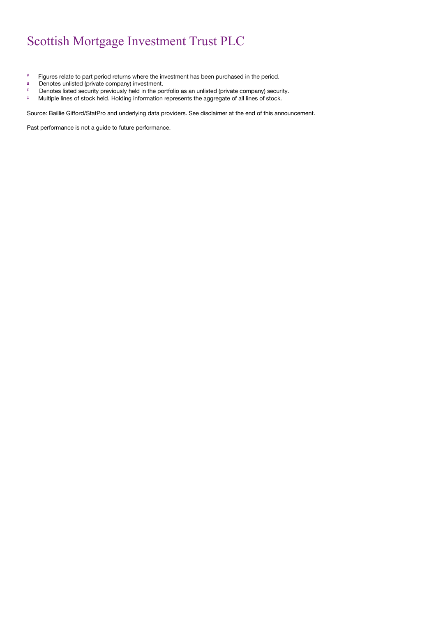- # Figures relate to part period returns where the investment has been purchased in the period.<br>
Denotes unlisted (private company) investment.
- 
- P Denotes listed security previously held in the portfolio as an unlisted (private company) security.<br>
Multiple lines of stock held. Holding information represents the aggregate of all lines of stock.
- 

Source: Baillie Gifford/StatPro and underlying data providers. See disclaimer at the end of this announcement.

Past performance is not a guide to future performance.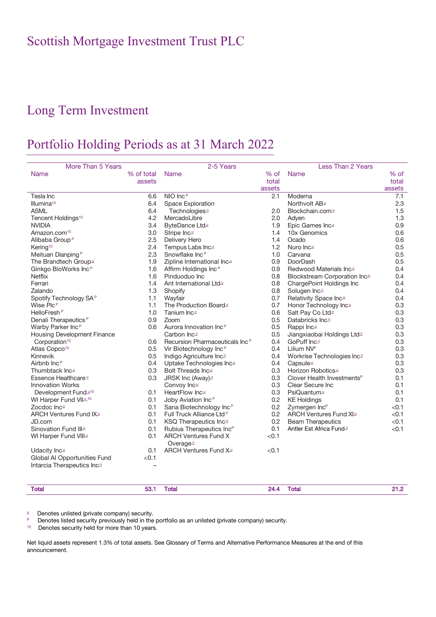## Long Term Investment

## Portfolio Holding Periods as at 31 March 2022

| More Than 5 Years                   |            | 2-5 Years                                  |        | <b>Less Than 2 Years</b>                 |        |
|-------------------------------------|------------|--------------------------------------------|--------|------------------------------------------|--------|
| <b>Name</b>                         | % of total | Name                                       | % of   | <b>Name</b>                              | % of   |
|                                     | assets     |                                            | total  |                                          | total  |
|                                     |            |                                            | assets |                                          | assets |
| Tesla Inc                           | 6.6        | NIO Inc <sup>P</sup>                       | 2.1    | Moderna                                  | 7.1    |
| Illumina <sup>10</sup>              | 6.4        | Space Exploration                          |        | Northvolt AB <sup>1</sup>                | 2.3    |
| <b>ASML</b>                         | 6.4        | Technologies <sup>11</sup>                 | 2.0    | Blockchain.com <sup>11</sup>             | 1.5    |
| Tencent Holdings <sup>10</sup>      | 4.2        | MercadoLibre                               | 2.0    | Adven                                    | 1.3    |
| <b>NVIDIA</b>                       | 3.4        | ByteDance Ltd <sup>u</sup>                 | 1.9    | Epic Games Inc <sup>a</sup>              | 0.9    |
| Amazon.com <sup>10</sup>            | 3.0        | Stripe Incu                                | 1.4    | 10x Genomics                             | 0.6    |
| Alibaba Group <sup>P</sup>          | 2.5        | Delivery Hero                              | 1.4    | Ocado                                    | 0.6    |
| Kering <sup>10</sup>                | 2.4        | Tempus Labs Inc <sup>u</sup>               | 1.2    | Nuro Inc <sup>™</sup>                    | 0.5    |
| Meituan Dianping <sup>P</sup>       | 2.3        | Snowflake Inc <sup>P</sup>                 | 1.0    | Carvana                                  | 0.5    |
| The Brandtech Group <sup>11</sup>   | 1.9        | Zipline International Inc <sup>u</sup>     | 0.9    | DoorDash                                 | 0.5    |
| Ginkgo BioWorks IncP                | 1.6        | Affirm Holdings Inc <sup>P</sup>           | 0.9    | Redwood Materials Inc <sup>u</sup>       | 0.4    |
| <b>Netflix</b>                      | 1.6        | Pinduoduo Inc                              | 0.8    | Blockstream Corporation Inc <sup>u</sup> | 0.4    |
| Ferrari                             | 1.4        | Ant International Ltd <sup>1</sup>         | 0.8    | ChargePoint Holdings Inc                 | 0.4    |
| Zalando                             | 1.3        | Shopify                                    | 0.8    | Solugen Inc <sup>u</sup>                 | 0.4    |
| Spotify Technology SAP              | 1.1        | Wayfair                                    | 0.7    | Relativity Space Incu                    | 0.4    |
| Wise Plc <sup>P</sup>               | 1.1        | The Production Board <sup>1</sup>          | 0.7    | Honor Technology Inc <sup>u</sup>        | 0.3    |
| HelloFresh <sup>P</sup>             | 1.0        | Tanium Inc <sup>u</sup>                    | 0.6    | Salt Pay Co Ltd <sup>u</sup>             | 0.3    |
| Denali Therapeutics <sup>P</sup>    | 0.9        | Zoom                                       | 0.5    | Databricks Inc <sup>u</sup>              | 0.3    |
| Warby Parker Inc <sup>P</sup>       | 0.6        | Aurora Innovation Inc <sup>P</sup>         | 0.5    | Rappi Inc <sup>1</sup>                   | 0.3    |
| Housing Development Finance         |            | Carbon Incu                                | 0.5    | Jiangxiaobai Holdings Ltd <sup>u</sup>   | 0.3    |
| Corporation <sup>10</sup>           | 0.6        | Recursion Pharmaceuticals Inc <sup>P</sup> | 0.4    | GoPuff Inc <sup>a</sup>                  | 0.3    |
| Atlas Copco <sup>10</sup>           | 0.5        | Vir Biotechnology Inc <sup>P</sup>         | 0.4    | Lilium NVP                               | 0.3    |
| Kinnevik                            | 0.5        | Indigo Agriculture Inc <sup>a</sup>        | 0.4    | Workrise Technologies Inc. <sup>11</sup> | 0.3    |
| Airbnb Inc <sup>P</sup>             | 0.4        | Uptake Technologies Inc <sup>u</sup>       | 0.4    | Capsule <sup>u</sup>                     | 0.3    |
| Thumbtack Inc <sup>a</sup>          | 0.3        | Bolt Threads Inc <sup>u</sup>              | 0.3    | Horizon Robotics <sup>11</sup>           | 0.3    |
| Essence Healthcare <sup>1</sup>     | 0.3        | JRSK Inc (Away) <sup>u</sup>               | 0.3    | Clover Health Investments <sup>P</sup>   | 0.1    |
| <b>Innovation Works</b>             |            | Convoy Incu                                | 0.3    | Clear Secure Inc                         | 0.1    |
| Development Fund <sup>10</sup>      | 0.1        | HeartFlow Inc <sup>u</sup>                 | 0.3    | PsiQuantum <sup>1</sup>                  | 0.1    |
| WI Harper Fund VII <sup>L10</sup>   | 0.1        | Joby Aviation Inc <sup>P</sup>             | 0.2    | <b>KE Holdings</b>                       | 0.1    |
| Zocdoc Inc <sup>u</sup>             | 0.1        | Sana Biotechnology Inc <sup>P</sup>        | 0.2    | Zymergen Inc <sup>P</sup>                | < 0.1  |
| ARCH Ventures Fund IX <sup>II</sup> | 0.1        | Full Truck Alliance Ltd <sup>P</sup>       | 0.2    | ARCH Ventures Fund XI <sup>II</sup>      | < 0.1  |
| JD.com                              | 0.1        | KSQ Therapeutics Inc <sup>u</sup>          | 0.2    | <b>Beam Therapeutics</b>                 | < 0.1  |
| Sinovation Fund III <sup>II</sup>   | 0.1        | Rubius Therapeutics Inc <sup>P</sup>       | 0.1    | Antler Est Africa Fund <sup>⊥</sup>      | < 0.1  |
| WI Harper Fund VIII <sup>II</sup>   | 0.1        | <b>ARCH Ventures Fund X</b><br>Overage     | < 0.1  |                                          |        |
| Udacity Incu                        | 0.1        | ARCH Ventures Fund X <sup>11</sup>         | < 0.1  |                                          |        |
| Global Al Opportunities Fund        | < 0.1      |                                            |        |                                          |        |
| Intarcia Therapeutics Incu          |            |                                            |        |                                          |        |
|                                     |            |                                            |        |                                          |        |

| <b>Total</b> | Total<br>53. I | <b>Total</b><br>эл л<br><b>ATIT</b> | . |
|--------------|----------------|-------------------------------------|---|
|              |                |                                     |   |

<sup>µ</sup> Denotes unlisted (private company) security.<br/>\n<sup>Þ</sup> Denotes listed security previously held in the portfolio as an unlisted (private company) security.<br/>\n<sup>10</sup> Denotes security held for more than 10 years.</sup>

Net liquid assets represent 1.3% of total assets. See Glossary of Terms and Alternative Performance Measures at the end of this announcement.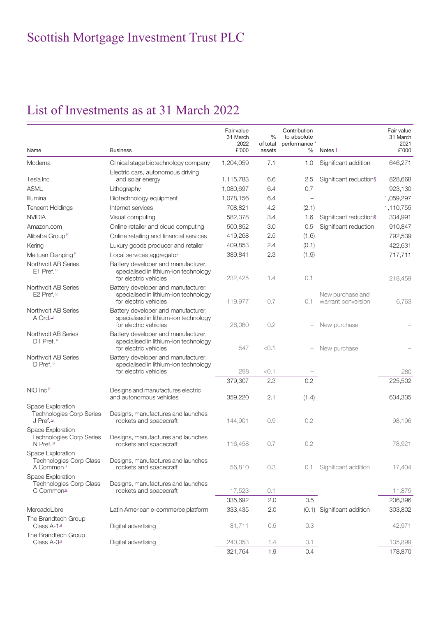## List of Investments as at 31 March 2022

| Name                                                                            | <b>Business</b>                                                                                       | Fair value<br>31 March<br>2022<br>£'000 | $\%$<br>of total<br>assets | Contribution<br>to absolute<br>performance*<br>$\%$ | Notes <sup>†</sup>                     | Fair value<br>31 March<br>2021<br>£'000 |
|---------------------------------------------------------------------------------|-------------------------------------------------------------------------------------------------------|-----------------------------------------|----------------------------|-----------------------------------------------------|----------------------------------------|-----------------------------------------|
|                                                                                 |                                                                                                       |                                         |                            |                                                     |                                        |                                         |
| Moderna                                                                         | Clinical stage biotechnology company                                                                  | 1,204,059                               | 7.1                        | 1.0                                                 | Significant addition                   | 646,271                                 |
| Tesla Inc                                                                       | Electric cars, autonomous driving<br>and solar energy                                                 | 1,115,783                               | 6.6                        | 2.5                                                 | Significant reduction§                 | 828,668                                 |
| <b>ASML</b>                                                                     | Lithography                                                                                           | 1,080,697                               | 6.4                        | 0.7                                                 |                                        | 923,130                                 |
| Illumina                                                                        | Biotechnology equipment                                                                               | 1,078,156                               | 6.4                        | $\overline{\phantom{0}}$                            |                                        | 1,059,297                               |
| <b>Tencent Holdings</b>                                                         | Internet services                                                                                     | 708,821                                 | 4.2                        | (2.1)                                               |                                        | 1,110,755                               |
| <b>NVIDIA</b>                                                                   | Visual computing                                                                                      | 582,378                                 | 3.4                        | 1.6                                                 | Significant reduction§                 | 334,991                                 |
| Amazon.com                                                                      | Online retailer and cloud computing                                                                   | 500,852                                 | 3.0                        | 0.5                                                 | Significant reduction                  | 910,847                                 |
| Alibaba Group <sup>P</sup>                                                      | Online retailing and financial services                                                               | 419,268                                 | 2.5                        | (1.6)                                               |                                        | 792,539                                 |
| Kering                                                                          | Luxury goods producer and retailer                                                                    | 409,853                                 | 2.4                        | (0.1)                                               |                                        | 422,631                                 |
| Meituan Dianping <sup>P</sup>                                                   | Local services aggregator                                                                             | 389,841                                 | 2.3                        | (1.9)                                               |                                        | 717,711                                 |
| Northvolt AB Series                                                             | Battery developer and manufacturer,                                                                   |                                         |                            |                                                     |                                        |                                         |
| E1 Pref. <sup>4</sup>                                                           | specialised in lithium-ion technology<br>for electric vehicles                                        | 232,425                                 | 1.4                        | 0.1                                                 |                                        | 218,459                                 |
| Northvolt AB Series<br>$E2$ Pref. $4$                                           | Battery developer and manufacturer,<br>specialised in lithium-ion technology<br>for electric vehicles | 119,977                                 | 0.7                        | 0.1                                                 | New purchase and<br>warrant conversion | 6,763                                   |
| Northvolt AB Series<br>A Ord. <sup>ª</sup>                                      | Battery developer and manufacturer,<br>specialised in lithium-ion technology<br>for electric vehicles | 26,060                                  | 0.2                        |                                                     | New purchase                           |                                         |
| Northvolt AB Series<br>D1 Pref. <sup>14</sup>                                   | Battery developer and manufacturer,<br>specialised in lithium-ion technology<br>for electric vehicles | 547                                     | < 0.1                      |                                                     | New purchase                           |                                         |
| Northvolt AB Series<br>$D$ Pref. $H$                                            | Battery developer and manufacturer,<br>specialised in lithium-ion technology                          |                                         |                            |                                                     |                                        |                                         |
|                                                                                 | for electric vehicles                                                                                 | 298                                     | < 0.1                      |                                                     |                                        | 280                                     |
| $NIO$ Inc $P$                                                                   |                                                                                                       | 379,307                                 | 2.3                        | 0.2                                                 |                                        | 225,502                                 |
|                                                                                 | Designs and manufactures electric<br>and autonomous vehicles                                          | 359,220                                 | 2.1                        | (1.4)                                               |                                        | 634,335                                 |
| Space Exploration<br><b>Technologies Corp Series</b><br>$J$ Pref. $\frac{u}{c}$ | Designs, manufactures and launches<br>rockets and spacecraft                                          | 144,901                                 | 0.9                        | 0.2                                                 |                                        | 98,196                                  |
| Space Exploration<br>Technologies Corp Series<br>$N$ Pref. $\frac{u}{r}$        | Designs, manufactures and launches<br>rockets and spacecraft                                          | 116,458                                 | 0.7                        | 0.2                                                 |                                        | 78,921                                  |
| Space Exploration<br><b>Technologies Corp Class</b><br>A Common <sup>1</sup>    | Designs, manufactures and launches<br>rockets and spacecraft                                          | 56,810                                  | 0.3                        | 0.1                                                 | Significant addition                   | 17,404                                  |
| Space Exploration<br>Technologies Corp Class<br>C Common <sup>™</sup>           | Designs, manufactures and launches<br>rockets and spacecraft                                          | 17,523                                  | 0.1                        |                                                     |                                        | 11,875                                  |
|                                                                                 |                                                                                                       | 335,692                                 | 2.0                        | 0.5                                                 |                                        | 206,396                                 |
| MercadoLibre                                                                    | Latin American e-commerce platform                                                                    | 333,435                                 | 2.0                        | (0.1)                                               | Significant addition                   | 303,802                                 |
| The Brandtech Group                                                             |                                                                                                       |                                         |                            |                                                     |                                        |                                         |
| Class $A-1^{\underline{u}}$<br>The Brandtech Group                              | Digital advertising                                                                                   | 81,711                                  | 0.5                        | 0.3                                                 |                                        | 42,971                                  |
| Class A-3 <sup>u</sup>                                                          | Digital advertising                                                                                   | 240,053                                 | 1.4                        | 0.1                                                 |                                        | 135,899                                 |
|                                                                                 |                                                                                                       | 321,764                                 | 1.9                        | 0.4                                                 |                                        | 178,870                                 |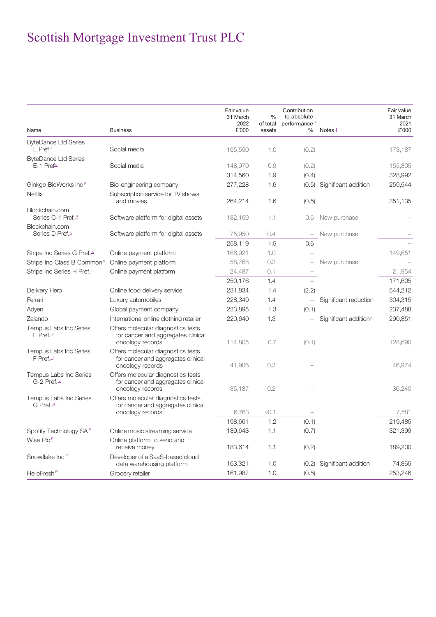| Name                                              | <b>Business</b>                                                                              | Fair value<br>31 March<br>2022<br>£'000 | $\frac{0}{0}$<br>of total<br>assets | Contribution<br>to absolute<br>performance*<br>$\%$ | Notes t                    | Fair value<br>31 March<br>2021<br>£'000 |
|---------------------------------------------------|----------------------------------------------------------------------------------------------|-----------------------------------------|-------------------------------------|-----------------------------------------------------|----------------------------|-----------------------------------------|
| <b>ByteDance Ltd Series</b>                       |                                                                                              |                                         |                                     |                                                     |                            |                                         |
| E Pref <sup>u</sup>                               | Social media                                                                                 | 165,590                                 | 1.0                                 | (0.2)                                               |                            | 173,187                                 |
| <b>ByteDance Ltd Series</b>                       |                                                                                              |                                         |                                     |                                                     |                            |                                         |
| $E-1$ Pref <sup><math>u</math></sup>              | Social media                                                                                 | 148,970                                 | 0.9                                 | (0.2)                                               |                            | 155,805                                 |
|                                                   |                                                                                              | 314,560                                 | 1.9                                 | (0.4)                                               |                            | 328,992                                 |
| Ginkgo BioWorks Inc <sup>P</sup>                  | Bio-engineering company                                                                      | 277,228                                 | 1.6                                 | (0.5)                                               | Significant addition       | 259,544                                 |
| <b>Netflix</b>                                    | Subscription service for TV shows<br>and movies                                              | 264,214                                 | 1.6                                 | (0.5)                                               |                            | 351,135                                 |
| Blockchain.com<br>Series C-1 Pref. <sup>14</sup>  | Software platform for digital assets                                                         | 182,169                                 | 1.1                                 | 0.6                                                 | New purchase               |                                         |
| Blockchain.com                                    |                                                                                              |                                         |                                     |                                                     |                            |                                         |
| Series D Pref. <sup>11</sup>                      | Software platform for digital assets                                                         | 75,950                                  | 0.4                                 |                                                     | New purchase               |                                         |
|                                                   |                                                                                              | 258,119                                 | 1.5                                 | 0.6                                                 |                            |                                         |
| Stripe Inc Series G Pref. <sup>14</sup>           | Online payment platform                                                                      | 166,921                                 | 1.0                                 |                                                     |                            | 149,651                                 |
| Stripe Inc Class B Common <sup>11</sup>           | Online payment platform                                                                      | 58,768                                  | 0.3                                 |                                                     | New purchase               |                                         |
| Stripe Inc Series H Pref. <sup>14</sup>           | Online payment platform                                                                      | 24,487                                  | 0.1                                 |                                                     |                            | 21,954                                  |
|                                                   |                                                                                              | 250,176                                 | 1.4                                 |                                                     |                            | 171,605                                 |
| Delivery Hero                                     | Online food delivery service                                                                 | 231,834                                 | 1.4                                 | (2.2)                                               |                            | 544,212                                 |
| Ferrari                                           | Luxury automobiles                                                                           | 228,349                                 | 1.4                                 | $\overline{\phantom{0}}$                            | Significant reduction      | 304,315                                 |
| Adyen                                             | Global payment company                                                                       | 223,895                                 | 1.3                                 | (0.1)                                               |                            | 237,488                                 |
| Zalando                                           | International online clothing retailer                                                       | 220,640                                 | 1.3                                 | $\overline{\phantom{a}}$                            | Significant addition^      | 290,851                                 |
| Tempus Labs Inc Series<br>$E$ Pref. $\frac{u}{c}$ | Offers molecular diagnostics tests<br>for cancer and aggregates clinical<br>oncology records | 114,805                                 | 0.7                                 | (0.1)                                               |                            | 128,690                                 |
| Tempus Labs Inc Series<br>F Pref.≞                | Offers molecular diagnostics tests<br>for cancer and aggregates clinical<br>oncology records | 41,906                                  | 0.3                                 |                                                     |                            | 46,974                                  |
| Tempus Labs Inc Series<br>$G-2$ Pref. $H$         | Offers molecular diagnostics tests<br>for cancer and aggregates clinical<br>oncology records | 35,187                                  | 0.2                                 |                                                     |                            | 36,240                                  |
| Tempus Labs Inc Series<br>$G$ Pref. $H$           | Offers molecular diagnostics tests<br>for cancer and aggregates clinical<br>oncology records | 6,763                                   | < 0.1                               |                                                     |                            | 7,581                                   |
|                                                   |                                                                                              | 198,661                                 | 1.2                                 | (0.1)                                               |                            | 219,485                                 |
|                                                   |                                                                                              |                                         |                                     |                                                     |                            |                                         |
| Spotify Technology SAP<br>Wise Plc <sup>P</sup>   | Online music streaming service                                                               | 189,643                                 | 1.1                                 | (0.7)                                               |                            | 321,399                                 |
|                                                   | Online platform to send and<br>receive money                                                 | 183,614                                 | 1.1                                 | (0.2)                                               |                            | 189,200                                 |
| Snowflake Inc <sup>P</sup>                        | Developer of a SaaS-based cloud                                                              |                                         | 1.0                                 |                                                     | (0.2) Significant addition | 74,865                                  |
| HelloFresh <sup>P</sup>                           | data warehousing platform<br>Grocery retailer                                                | 163,321<br>161,987                      | 1.0                                 | (0.5)                                               |                            | 253,246                                 |
|                                                   |                                                                                              |                                         |                                     |                                                     |                            |                                         |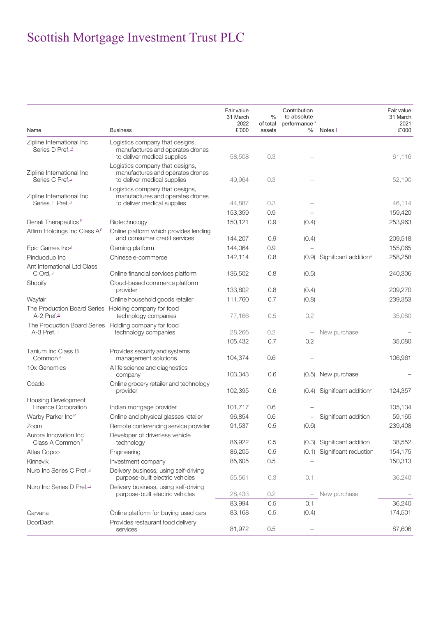|                                                                                 |                                                                                                    | Fair value<br>31 March<br>2022 | $\%$<br>of total | Contribution<br>to absolute<br>performance* |                             | Fair value<br>31 March<br>2021 |
|---------------------------------------------------------------------------------|----------------------------------------------------------------------------------------------------|--------------------------------|------------------|---------------------------------------------|-----------------------------|--------------------------------|
| Name                                                                            | <b>Business</b>                                                                                    | £'000                          | assets           | %                                           | Notes †                     | £'000                          |
| Zipline International Inc<br>Series D Pref. <sup>14</sup>                       | Logistics company that designs,<br>manufactures and operates drones<br>to deliver medical supplies | 58,508                         | 0.3              |                                             |                             | 61,116                         |
| Zipline International Inc<br>Series C Pref. <sup>14</sup>                       | Logistics company that designs,<br>manufactures and operates drones<br>to deliver medical supplies | 49,964                         | 0.3              |                                             |                             | 52,190                         |
| Zipline International Inc<br>Series E Pref. <sup>14</sup>                       | Logistics company that designs,<br>manufactures and operates drones<br>to deliver medical supplies | 44,887                         | 0.3              |                                             |                             | 46,114                         |
|                                                                                 |                                                                                                    | 153,359                        | 0.9              |                                             |                             | 159,420                        |
| Denali Therapeutics <sup>P</sup>                                                | Biotechnology                                                                                      | 150,121                        | 0.9              | (0.4)                                       |                             | 253,963                        |
| Affirm Holdings Inc Class A <sup>P</sup>                                        | Online platform which provides lending<br>and consumer credit services                             | 144,207                        | 0.9              | (0.4)                                       |                             | 209,518                        |
| Epic Games Inc <sup>u</sup>                                                     | Gaming platform                                                                                    | 144,064                        | 0.9              | $\overline{\phantom{0}}$                    |                             | 155,065                        |
| Pinduoduo Inc                                                                   | Chinese e-commerce                                                                                 | 142,114                        | 0.8              | (0.9)                                       | Significant addition^       | 258,258                        |
| Ant International Ltd Class<br>$C$ Ord. $\equiv$                                | Online financial services platform                                                                 | 136,502                        | 0.8              | (0.5)                                       |                             | 240,306                        |
| Shopify                                                                         | Cloud-based commerce platform                                                                      |                                |                  |                                             |                             |                                |
|                                                                                 | provider                                                                                           | 133,802                        | 0.8              | (0.4)                                       |                             | 209,270                        |
| Wayfair                                                                         | Online household goods retailer                                                                    | 111,760                        | 0.7              | (0.8)                                       |                             | 239,353                        |
| The Production Board Series Holding company for food<br>$A-2$ Pref. $H$         | technology companies                                                                               | 77,166                         | 0.5              | 0.2                                         |                             | 35,080                         |
| The Production Board Series Holding company for food<br>A-3 Pref. <sup>14</sup> | technology companies                                                                               | 28,266                         | 0.2              |                                             | New purchase                |                                |
|                                                                                 |                                                                                                    | 105,432                        | 0.7              | 0.2                                         |                             | 35,080                         |
| Tanium Inc Class B<br>Common≞                                                   | Provides security and systems<br>management solutions                                              | 104,374                        | 0.6              |                                             |                             | 106,961                        |
| 10x Genomics                                                                    | A life science and diagnostics<br>company                                                          | 103,343                        | 0.6              | (0.5)                                       | New purchase                |                                |
| Ocado                                                                           | Online grocery retailer and technology<br>provider                                                 | 102,395                        | 0.6              |                                             | (0.4) Significant addition^ | 124,357                        |
| <b>Housing Development</b><br><b>Finance Corporation</b>                        | Indian mortgage provider                                                                           | 101,717                        | 0.6              |                                             |                             | 105,134                        |
| Warby Parker Inc <sup>P</sup>                                                   | Online and physical glasses retailer                                                               | 96,854                         | 0.6              |                                             | Significant addition        | 59,165                         |
| Zoom                                                                            | Remote conferencing service provider                                                               | 91,537                         | 0.5              | (0.6)                                       |                             | 239,408                        |
| Aurora Innovation Inc<br>Class A Common <sup>P</sup>                            | Developer of driverless vehicle<br>technology                                                      | 86,922                         | 0.5              |                                             | (0.3) Significant addition  | 38,552                         |
| Atlas Copco                                                                     | Engineering                                                                                        | 86,205                         | 0.5              |                                             | (0.1) Significant reduction | 154,175                        |
| Kinnevik                                                                        | Investment company                                                                                 | 85,605                         | 0.5              |                                             |                             | 150,313                        |
| Nuro Inc Series C Pref. <sup>14</sup>                                           | Delivery business, using self-driving<br>purpose-built electric vehicles                           | 55,561                         | 0.3              | 0.1                                         |                             | 36,240                         |
| Nuro Inc Series D Pref. <sup>⊥</sup>                                            | Delivery business, using self-driving<br>purpose-built electric vehicles                           | 28,433                         | 0.2              |                                             | New purchase                |                                |
|                                                                                 |                                                                                                    | 83,994                         | 0.5              | 0.1                                         |                             | 36,240                         |
| Carvana                                                                         | Online platform for buying used cars                                                               | 83,168                         | 0.5              | (0.4)                                       |                             | 174,501                        |
| <b>DoorDash</b>                                                                 | Provides restaurant food delivery<br>services                                                      | 81,972                         | 0.5              |                                             |                             | 87,606                         |
|                                                                                 |                                                                                                    |                                |                  |                                             |                             |                                |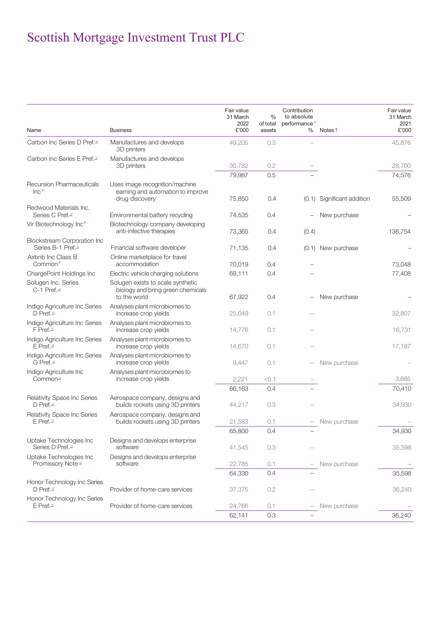| Name                                                                | <b>Business</b>                                                                        | Fair value<br>31 March<br>2022<br>£'000 | $\%$<br>of total<br>assets | Contribution<br>to absolute<br>performance*<br>% | Notes t                    | Fair value<br>31 March<br>2021<br>£'000 |
|---------------------------------------------------------------------|----------------------------------------------------------------------------------------|-----------------------------------------|----------------------------|--------------------------------------------------|----------------------------|-----------------------------------------|
| Carbon Inc Series D Pref. <sup>14</sup>                             | Manufactures and develops                                                              | 49,205                                  | 0.3                        |                                                  |                            |                                         |
|                                                                     | 3D printers                                                                            |                                         |                            |                                                  |                            | 45,876                                  |
| Carbon Inc Series E Pref. <sup>14</sup>                             | Manufactures and develops                                                              |                                         |                            |                                                  |                            |                                         |
|                                                                     | 3D printers                                                                            | 30,782                                  | 0.2                        |                                                  |                            | 28,700                                  |
| Recursion Pharmaceuticals<br>Inc <sup>P</sup>                       | Uses image recognition/machine<br>earning and automation to improve<br>drug discovery  | 79,987<br>75,850                        | 0.5<br>0.4                 |                                                  | (0.1) Significant addition | 74,576<br>55,509                        |
| Redwood Materials Inc.<br>Series C Pref. <sup>14</sup>              | Environmental battery recycling                                                        | 74,535                                  | 0.4                        |                                                  | New purchase               |                                         |
| Vir Biotechnology Inc <sup>P</sup>                                  | Biotechnology company developing                                                       |                                         |                            |                                                  |                            |                                         |
|                                                                     | anti-infective therapies                                                               | 73,365                                  | 0.4                        | (0.4)                                            |                            | 136,754                                 |
| <b>Blockstream Corporation Inc</b><br>Series B-1 Pref. <sup>⊥</sup> | Financial software developer                                                           | 71,135                                  | 0.4                        |                                                  | (0.1) New purchase         |                                         |
| Airbnb Inc Class B                                                  | Online marketplace for travel                                                          |                                         |                            |                                                  |                            |                                         |
| Common <sup>P</sup>                                                 | accommodation                                                                          | 70,019                                  | 0.4                        |                                                  |                            | 73,048                                  |
| ChargePoint Holdings Inc                                            | Electric vehicle charging solutions                                                    | 69,111                                  | 0.4                        |                                                  |                            | 77,408                                  |
| Solugen Inc. Series<br>$C-1$ Pref. $4$                              | Solugen exists to scale synthetic<br>biology and bring green chemicals<br>to the world | 67,922                                  | 0.4                        |                                                  | New purchase               |                                         |
| Indigo Agriculture Inc Series                                       | Analyses plant microbiomes to                                                          |                                         |                            |                                                  |                            |                                         |
| $D$ Pref. $\frac{u}{c}$                                             | increase crop yields                                                                   | 25,049                                  | 0.1                        |                                                  |                            | 32,807                                  |
| Indigo Agriculture Inc Series<br>$F$ Pref. $\frac{u}{2}$            | Analyses plant microbiomes to<br>increase crop yields                                  | 14,776                                  | 0.1                        |                                                  |                            | 16,731                                  |
| Indigo Agriculture Inc Series<br>$E$ Pref. $\frac{u}{2}$            | Analyses plant microbiomes to<br>increase crop yields                                  | 14,670                                  | 0.1                        |                                                  |                            | 17,187                                  |
| Indigo Agriculture Inc Series<br>$G$ Pref. $4$                      | Analyses plant microbiomes to<br>increase crop yields                                  | 9,447                                   | 0.1                        |                                                  | New purchase               |                                         |
| Indigo Agriculture Inc<br>Common≞                                   | Analyses plant microbiomes to<br>increase crop yields                                  | 2,221                                   | < 0.1                      |                                                  |                            | 3,685                                   |
|                                                                     |                                                                                        | 66,163                                  | 0.4                        |                                                  |                            | 70,410                                  |
| Relativity Space Inc Series<br>$D$ Pref. $\frac{u}{x}$              | Aerospace company, designs and<br>builds rockets using 3D printers                     | 44,217                                  | 0.3                        |                                                  |                            | 34,930                                  |
| Relativity Space Inc Series<br>$E$ Pref. $\frac{u}{x}$              | Aerospace company, designs and                                                         |                                         |                            |                                                  |                            |                                         |
|                                                                     | builds rockets using 3D printers                                                       | 21,583<br>65,800                        | 0.1<br>0.4                 |                                                  | New purchase               | 34,930                                  |
| Uptake Technologies Inc<br>Series D Pref. <sup>14</sup>             | Designs and develops enterprise<br>software                                            | 41,545                                  | 0.3                        |                                                  |                            | 35,598                                  |
| Uptake Technologies Inc<br>Promissory Note "                        | Designs and develops enterprise<br>software                                            |                                         |                            |                                                  |                            |                                         |
|                                                                     |                                                                                        | 22,785<br>64,330                        | 0.1<br>0.4                 |                                                  | New purchase               | 35,598                                  |
| Honor Technology Inc Series                                         |                                                                                        |                                         |                            |                                                  |                            |                                         |
| D Pref. $\frac{u}{x}$                                               | Provider of home-care services                                                         | 37,375                                  | 0.2                        |                                                  |                            | 36,240                                  |
| Honor Technology Inc Series<br>E Pref.≞                             | Provider of home-care services                                                         | 24,766                                  | 0.1                        |                                                  | New purchase               |                                         |
|                                                                     |                                                                                        | 62,141                                  | 0.3                        |                                                  |                            | 36,240                                  |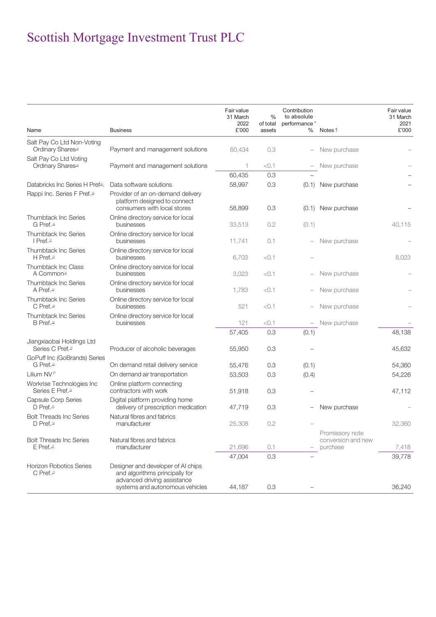|                                                             |                                                                                                     | Fair value<br>31 March<br>2022 | $\%$<br>of total | Contribution<br>to absolute<br>performance* |                                       | Fair value<br>31 March<br>2021 |
|-------------------------------------------------------------|-----------------------------------------------------------------------------------------------------|--------------------------------|------------------|---------------------------------------------|---------------------------------------|--------------------------------|
| Name                                                        | <b>Business</b>                                                                                     | £'000                          | assets           | %                                           | Notes <sup>+</sup>                    | £'000                          |
| Salt Pay Co Ltd Non-Voting<br>Ordinary Shares <sup>11</sup> | Payment and management solutions                                                                    | 60,434                         | 0.3              |                                             | New purchase                          |                                |
| Salt Pay Co Ltd Voting<br>Ordinary Shares <sup>14</sup>     | Payment and management solutions                                                                    | 1                              | < 0.1            |                                             | New purchase                          |                                |
|                                                             |                                                                                                     | 60,435                         | 0.3              |                                             |                                       |                                |
| Databricks Inc Series H Pref <sup>⊥</sup> .                 | Data software solutions                                                                             | 58,997                         | 0.3              |                                             | $(0.1)$ New purchase                  |                                |
| Rappi Inc. Series F Pref. <sup>14</sup>                     | Provider of an on-demand delivery<br>platform designed to connect<br>consumers with local stores    | 58,899                         | 0.3              |                                             | $(0.1)$ New purchase                  |                                |
| Thumbtack Inc Series<br>$G$ Pref. $H$                       | Online directory service for local<br>businesses                                                    | 33,513                         | 0.2              | (0.1)                                       |                                       | 40,115                         |
| Thumbtack Inc Series<br>$I$ Pref. $\frac{u}{2}$             | Online directory service for local<br>businesses                                                    | 11,741                         | 0.1              |                                             | New purchase                          |                                |
| Thumbtack Inc Series<br>$H$ Pref. $H$                       | Online directory service for local<br>businesses                                                    | 6,703                          | < 0.1            |                                             |                                       | 8,023                          |
| Thumbtack Inc Class<br>A Common <sup>u</sup>                | Online directory service for local<br>businesses                                                    | 3,023                          | < 0.1            |                                             | New purchase                          |                                |
| Thumbtack Inc Series<br>A Pref. <sup>⊔</sup>                | Online directory service for local<br>businesses                                                    | 1,783                          | < 0.1            |                                             | New purchase                          |                                |
| Thumbtack Inc Series<br>$C$ Pref. $\frac{u}{c}$             | Online directory service for local<br>businesses                                                    | 521                            | < 0.1            |                                             | New purchase                          |                                |
| Thumbtack Inc Series<br>B Pref.≞                            | Online directory service for local<br>businesses                                                    | 121                            | < 0.1            | $\qquad \qquad -$                           | New purchase                          |                                |
|                                                             |                                                                                                     | 57,405                         | 0.3              | (0.1)                                       |                                       | 48,138                         |
| Jiangxiaobai Holdings Ltd<br>Series C Pref. <sup>⊥</sup>    | Producer of alcoholic beverages                                                                     | 55,950                         | 0.3              |                                             |                                       | 45,632                         |
| GoPuff Inc (GoBrands) Series                                |                                                                                                     |                                |                  |                                             |                                       |                                |
| G Pref. <sup>⊥</sup><br>Lilium NVP                          | On demand retail delivery service                                                                   | 55,476                         | 0.3              | (0.1)                                       |                                       | 54,360                         |
| Workrise Technologies Inc                                   | On demand air transportation<br>Online platform connecting                                          | 53,503                         | 0.3              | (0.4)                                       |                                       | 54,226                         |
| Series E Pref. 4                                            | contractors with work                                                                               | 51,918                         | 0.3              |                                             |                                       | 47,112                         |
| Capsule Corp Series<br>D Pref. <sup>⊥</sup>                 | Digital platform providing home<br>delivery of prescription medication                              | 47,719                         | 0.3              |                                             | New purchase                          |                                |
| <b>Bolt Threads Inc Series</b><br>$D$ Pref. $H$             | Natural fibres and fabrics<br>manufacturer                                                          | 25,308                         | 0.2              |                                             |                                       | 32,360                         |
| <b>Bolt Threads Inc Series</b>                              | Natural fibres and fabrics                                                                          |                                |                  |                                             | Promissory note<br>conversion and new |                                |
| $E$ Pref. $4$                                               | manufacturer                                                                                        | 21,696                         | 0.1              |                                             | purchase                              | 7,418                          |
|                                                             |                                                                                                     | 47,004                         | 0.3              |                                             |                                       | 39,778                         |
| <b>Horizon Robotics Series</b><br>$C$ Pref. $\frac{u}{c}$   | Designer and developer of AI chips<br>and algorithms principally for<br>advanced driving assistance |                                |                  |                                             |                                       |                                |
|                                                             | systems and autonomous vehicles                                                                     | 44,187                         | 0.3              |                                             |                                       | 36,240                         |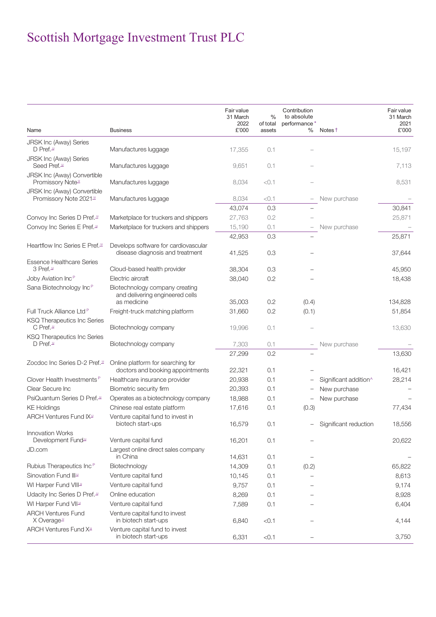| Name                                                                | <b>Business</b>                                                         | Fair value<br>31 March<br>2022<br>£'000 | $\frac{0}{0}$<br>of total<br>assets | Contribution<br>to absolute<br>performance*<br>% | Notes <sup>+</sup>    | Fair value<br>31 March<br>2021<br>£'000 |
|---------------------------------------------------------------------|-------------------------------------------------------------------------|-----------------------------------------|-------------------------------------|--------------------------------------------------|-----------------------|-----------------------------------------|
| JRSK Inc (Away) Series                                              |                                                                         |                                         |                                     |                                                  |                       |                                         |
| $D$ Pref. $\frac{u}{c}$                                             | Manufactures luggage                                                    | 17,355                                  | 0.1                                 |                                                  |                       | 15,197                                  |
| JRSK Inc (Away) Series<br>Seed Pref. <sup>14</sup>                  | Manufactures luggage                                                    | 9,651                                   | 0.1                                 |                                                  |                       | 7,113                                   |
| JRSK Inc (Away) Convertible<br>Promissory Note <sup>11</sup>        | Manufactures luggage                                                    | 8,034                                   | < 0.1                               |                                                  |                       | 8,531                                   |
| JRSK Inc (Away) Convertible                                         |                                                                         |                                         |                                     |                                                  |                       |                                         |
| Promissory Note 2021 <sup>1</sup>                                   | Manufactures luggage                                                    | 8,034                                   | < 0.1                               |                                                  | New purchase          |                                         |
|                                                                     |                                                                         | 43,074                                  | 0.3                                 |                                                  |                       | 30,841                                  |
| Convoy Inc Series D Pref. <sup>14</sup>                             | Marketplace for truckers and shippers                                   | 27,763                                  | 0.2                                 |                                                  |                       | 25,871                                  |
| Convoy Inc Series E Pref. <sup>14</sup>                             | Marketplace for truckers and shippers                                   | 15,190                                  | 0.1                                 |                                                  | New purchase          |                                         |
|                                                                     |                                                                         | 42,953                                  | 0.3                                 |                                                  |                       | 25,871                                  |
| Heartflow Inc Series E Pref. <sup>14</sup>                          | Develops software for cardiovascular<br>disease diagnosis and treatment | 41,525                                  | 0.3                                 |                                                  |                       | 37,644                                  |
| <b>Essence Healthcare Series</b><br>3 Pref. <sup>⊥</sup>            | Cloud-based health provider                                             | 38,304                                  | 0.3                                 |                                                  |                       | 45,950                                  |
| Joby Aviation Inc <sup>P</sup>                                      | Electric aircraft                                                       | 38,040                                  | 0.2                                 |                                                  |                       | 18,438                                  |
| Sana Biotechnology Inc <sup>P</sup>                                 | Biotechnology company creating<br>and delivering engineered cells       |                                         |                                     |                                                  |                       |                                         |
|                                                                     | as medicine                                                             | 35,003                                  | 0.2                                 | (0.4)                                            |                       | 134,828                                 |
| Full Truck Alliance Ltd <sup>P</sup><br>KSQ Therapeutics Inc Series | Freight-truck matching platform                                         | 31,660                                  | 0.2                                 | (0.1)                                            |                       | 51,854                                  |
| $C$ Pref. $\frac{u}{c}$<br>KSQ Therapeutics Inc Series              | Biotechnology company                                                   | 19,996                                  | 0.1                                 |                                                  |                       | 13,630                                  |
| D Pref. $\frac{u}{x}$                                               | Biotechnology company                                                   | 7,303                                   | 0.1                                 |                                                  | New purchase          |                                         |
|                                                                     |                                                                         | 27,299                                  | 0.2                                 |                                                  |                       | 13,630                                  |
| Zocdoc Inc Series D-2 Pref. <sup>14</sup>                           | Online platform for searching for<br>doctors and booking appointments   | 22,321                                  | 0.1                                 |                                                  |                       | 16,421                                  |
| Clover Health Investments <sup>P</sup>                              | Healthcare insurance provider                                           | 20,938                                  | 0.1                                 |                                                  | Significant addition^ | 28,214                                  |
| Clear Secure Inc                                                    | Biometric security firm                                                 | 20,393                                  | 0.1                                 |                                                  | New purchase          |                                         |
| PsiQuantum Series D Pref. <sup>14</sup>                             | Operates as a biotechnology company                                     | 18,988                                  | 0.1                                 |                                                  | New purchase          |                                         |
| <b>KE Holdings</b>                                                  | Chinese real estate platform                                            | 17,616                                  | 0.1                                 | (0.3)                                            |                       | 77,434                                  |
| ARCH Ventures Fund IX <sup>™</sup>                                  | Venture capital fund to invest in<br>biotech start-ups                  | 16,579                                  | 0.1                                 |                                                  | Significant reduction | 18,556                                  |
| Innovation Works<br>Development Fund <sup>14</sup>                  | Venture capital fund                                                    | 16,201                                  | 0.1                                 |                                                  |                       | 20,622                                  |
| JD.com                                                              | Largest online direct sales company<br>in China                         | 14,631                                  | 0.1                                 |                                                  |                       |                                         |
| Rubius Therapeutics Inc <sup>P</sup>                                | Biotechnology                                                           | 14,309                                  | 0.1                                 | (0.2)                                            |                       | 65,822                                  |
| Sinovation Fund III <sup>LL</sup>                                   | Venture capital fund                                                    |                                         |                                     |                                                  |                       |                                         |
|                                                                     |                                                                         | 10,145                                  | 0.1                                 |                                                  |                       | 8,613                                   |
| WI Harper Fund VIII <sup>LL</sup>                                   | Venture capital fund                                                    | 9,757                                   | 0.1                                 |                                                  |                       | 9,174                                   |
| Udacity Inc Series D Pref. <sup>14</sup>                            | Online education                                                        | 8,269                                   | 0.1                                 |                                                  |                       | 8,928                                   |
| WI Harper Fund VII <sup>LL</sup>                                    | Venture capital fund                                                    | 7,589                                   | 0.1                                 |                                                  |                       | 6,404                                   |
| <b>ARCH Ventures Fund</b><br>X Overage <sup>u</sup>                 | Venture capital fund to invest<br>in biotech start-ups                  | 6,840                                   | < 0.1                               |                                                  |                       | 4,144                                   |
| ARCH Ventures Fund X <sup>11</sup>                                  | Venture capital fund to invest<br>in biotech start-ups                  | 6,331                                   | < 0.1                               |                                                  |                       | 3,750                                   |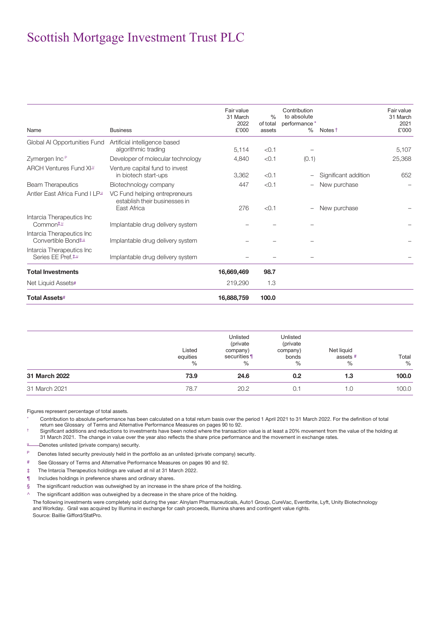| Name                                                        | <b>Business</b>                                                               | Fair value<br>31 March<br>2022<br>£'000 | $\frac{0}{0}$<br>of total<br>assets | Contribution<br>to absolute<br>performance*<br>$\%$ | Notes t              | Fair value<br>31 March<br>2021<br>£'000 |
|-------------------------------------------------------------|-------------------------------------------------------------------------------|-----------------------------------------|-------------------------------------|-----------------------------------------------------|----------------------|-----------------------------------------|
| Global Al Opportunities Fund                                | Artificial intelligence based<br>algorithmic trading                          | 5,114                                   | < 0.1                               |                                                     |                      | 5,107                                   |
| Zymergen Inc <sup>P</sup>                                   | Developer of molecular technology                                             | 4,840                                   | < 0.1                               | (0.1)                                               |                      | 25,368                                  |
| ARCH Ventures Fund XI <sup>⊥</sup>                          | Venture capital fund to invest<br>in biotech start-ups                        | 3,362                                   | < 0.1                               |                                                     | Significant addition | 652                                     |
| <b>Beam Therapeutics</b>                                    | Biotechnology company                                                         | 447                                     | < 0.1                               |                                                     | New purchase         |                                         |
| Antler East Africa Fund I LP <sup>II</sup>                  | VC Fund helping entrepreneurs<br>establish their businesses in<br>East Africa | 276                                     | < 0.1                               |                                                     | New purchase         |                                         |
| Intarcia Therapeutics Inc<br>Common#                        | Implantable drug delivery system                                              |                                         |                                     |                                                     |                      |                                         |
| Intarcia Therapeutics Inc<br>Convertible Bond <sup>#4</sup> | Implantable drug delivery system                                              |                                         |                                     |                                                     |                      |                                         |
| Intarcia Therapeutics Inc<br>Series EE Pref. <sup>‡</sup>   | Implantable drug delivery system                                              |                                         |                                     |                                                     |                      |                                         |
| <b>Total Investments</b>                                    |                                                                               | 16,669,469                              | 98.7                                |                                                     |                      |                                         |
| Net Liquid Assets#                                          |                                                                               | 219,290                                 | 1.3                                 |                                                     |                      |                                         |
| Total Assets#                                               |                                                                               | 16,888,759                              | 100.0                               |                                                     |                      |                                         |

|               | Listed<br>equities<br>$\%$ | Unlisted<br>(private)<br>company)<br>securities 1<br>$\%$ | Unlisted<br>(private)<br>company)<br>bonds<br>$\%$ | Net liquid<br>assets #<br>$\%$ | Total<br>$\%$ |
|---------------|----------------------------|-----------------------------------------------------------|----------------------------------------------------|--------------------------------|---------------|
| 31 March 2022 | 73.9                       | 24.6                                                      | 0.2                                                | 1.3                            | 100.0         |
| 31 March 2021 | 78.7                       | 20.2                                                      | 0.1                                                | 1.0                            | 100.0         |

Figures represent percentage of total assets.

<sup>∗</sup> Contribution to absolute performance has been calculated on a total return basis over the period 1 April 2021 to 31 March 2022. For the definition of total return see Glossary of Terms and Alternative Performance Measures on pages 90 to 92.

† Significant additions and reductions to investments have been noted where the transaction value is at least a 20% movement from the value of the holding at 31 March 2021. The change in value over the year also reflects the share price performance and the movement in exchange rates.

-Denotes unlisted (private company) security.

Denotes listed security previously held in the portfolio as an unlisted (private company) security.

# See Glossary of Terms and Alternative Performance Measures on pages 90 and 92.

‡ The Intarcia Therapeutics holdings are valued at nil at 31 March 2022.

¶ Includes holdings in preference shares and ordinary shares.

§ The significant reduction was outweighed by an increase in the share price of the holding.

The significant addition was outweighed by a decrease in the share price of the holding.

The following investments were completely sold during the year: Alnylam Pharmaceuticals, Auto1 Group, CureVac, Eventbrite, Lyft, Unity Biotechnology and Workday. Grail was acquired by Illumina in exchange for cash proceeds, Illumina shares and contingent value rights. Source: Baillie Gifford/StatPro.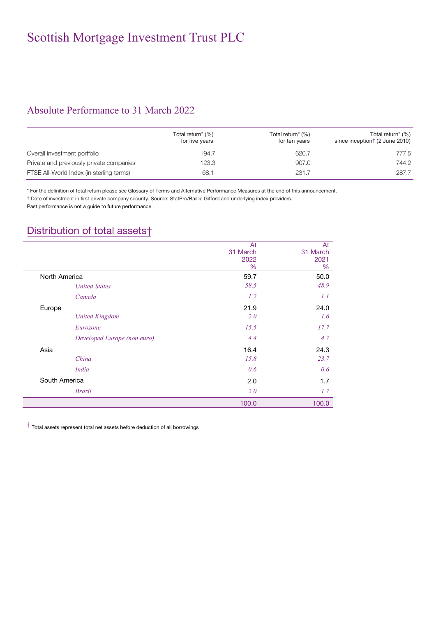### Absolute Performance to 31 March 2022

|                                          | Total return* (%)<br>for five years | Total return <sup>*</sup> (%)<br>for ten years | Total return <sup>*</sup> (%)<br>since inception <sup>†</sup> (2 June 2010) |
|------------------------------------------|-------------------------------------|------------------------------------------------|-----------------------------------------------------------------------------|
| Overall investment portfolio             | 194.7                               | 620.7                                          | 777.5                                                                       |
| Private and previously private companies | 123.3                               | 907.0                                          | 744.2                                                                       |
| FTSE All-World Index (in sterling terms) | 68.1                                | 231.7                                          | 287.7                                                                       |

\* For the definition of total return please see Glossary of Terms and Alternative Performance Measures at the end of this announcement.

† Date of investment in first private company security. Source: StatPro/Baillie Gifford and underlying index providers.

Past performance is not a guide to future performance

### Distribution of total assets<sup>†</sup>

|               |                             | At<br>31 March<br>2022<br>% | At<br>31 March<br>2021<br>% |
|---------------|-----------------------------|-----------------------------|-----------------------------|
| North America |                             | 59.7                        | 50.0                        |
|               | <b>United States</b>        | 58.5                        | 48.9                        |
|               | Canada                      | 1.2                         | 1.1                         |
| Europe        |                             | 21.9                        | 24.0                        |
|               | <b>United Kingdom</b>       | 2.0                         | 1.6                         |
|               | Eurozone                    | 15.5                        | 17.7                        |
|               | Developed Europe (non euro) | 4.4                         | 4.7                         |
| Asia          |                             | 16.4                        | 24.3                        |
|               | China                       | 15.8                        | 23.7                        |
|               | India                       | 0.6                         | 0.6                         |
| South America |                             | 2.0                         | 1.7                         |
|               | <b>Brazil</b>               | 2.0                         | 1.7                         |
|               |                             | 100.0                       | 100.0                       |

 $\dagger$  Total assets represent total net assets before deduction of all borrowings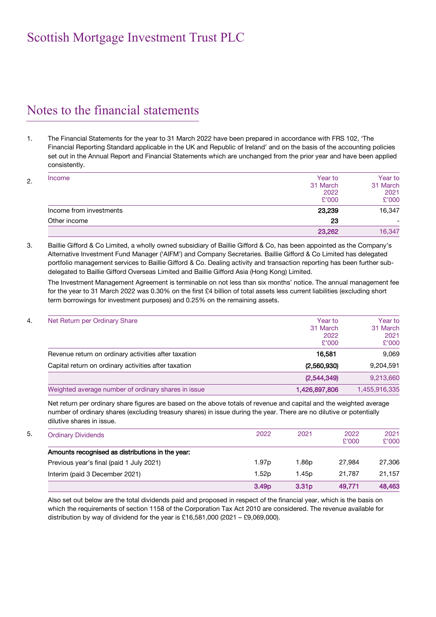## Notes to the financial statements

1. The Financial Statements for the year to 31 March 2022 have been prepared in accordance with FRS 102, 'The Financial Reporting Standard applicable in the UK and Republic of Ireland' and on the basis of the accounting policies set out in the Annual Report and Financial Statements which are unchanged from the prior year and have been applied consistently.

| Income                  | Year to  | Year to  |
|-------------------------|----------|----------|
|                         | 31 March | 31 March |
|                         | 2022     | 2021     |
|                         | £'000    | £'000    |
| Income from investments | 23,239   | 16,347   |
| Other income            | 23       | -        |
|                         | 23,262   | 16,347   |

3. Baillie Gifford & Co Limited, a wholly owned subsidiary of Baillie Gifford & Co, has been appointed as the Company's Alternative Investment Fund Manager ('AIFM') and Company Secretaries. Baillie Gifford & Co Limited has delegated portfolio management services to Baillie Gifford & Co. Dealing activity and transaction reporting has been further subdelegated to Baillie Gifford Overseas Limited and Baillie Gifford Asia (Hong Kong) Limited.

The Investment Management Agreement is terminable on not less than six months' notice. The annual management fee for the year to 31 March 2022 was 0.30% on the first £4 billion of total assets less current liabilities (excluding short term borrowings for investment purposes) and 0.25% on the remaining assets.

| Net Return per Ordinary Share                        | Year to       | Year to       |
|------------------------------------------------------|---------------|---------------|
|                                                      | 31 March      | 31 March      |
|                                                      | 2022          | 2021          |
|                                                      | £'000         | £'000         |
| Revenue return on ordinary activities after taxation | 16.581        | 9,069         |
| Capital return on ordinary activities after taxation | (2,560,930)   | 9,204,591     |
|                                                      | (2,544,349)   | 9,213,660     |
| Weighted average number of ordinary shares in issue  | 1,426,897,806 | 1,455,916,335 |

Net return per ordinary share figures are based on the above totals of revenue and capital and the weighted average number of ordinary shares (excluding treasury shares) in issue during the year. There are no dilutive or potentially dilutive shares in issue.

| <b>Ordinary Dividends</b>                        | 2022              | 2021              | 2022<br>£'000 | 2021<br>£'000 |
|--------------------------------------------------|-------------------|-------------------|---------------|---------------|
| Amounts recognised as distributions in the year: |                   |                   |               |               |
| Previous year's final (paid 1 July 2021)         | 1.97p             | 1.86p             | 27.984        | 27,306        |
| Interim (paid 3 December 2021)                   | 1.52p             | 1.45p             | 21.787        | 21.157        |
|                                                  | 3.49 <sub>p</sub> | 3.31 <sub>D</sub> | 49.771        | 48.463        |

Also set out below are the total dividends paid and proposed in respect of the financial year, which is the basis on which the requirements of section 1158 of the Corporation Tax Act 2010 are considered. The revenue available for distribution by way of dividend for the year is £16,581,000 (2021 – £9,069,000).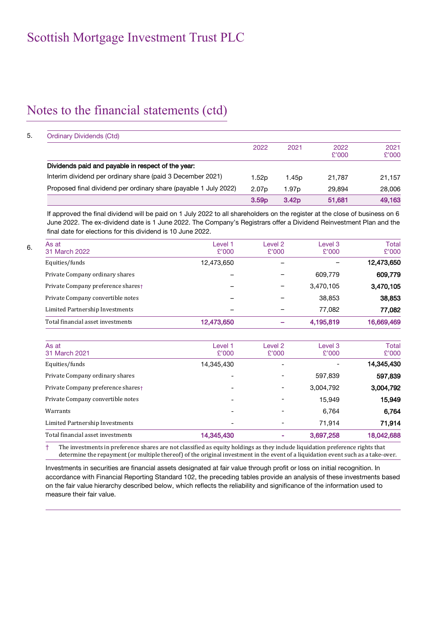## Notes to the financial statements (ctd)

### 5. Ordinary Dividends (Ctd)

 $6.$ 

| Ordinary Dividends (Ctd)                                         |                   |                   |        |        |
|------------------------------------------------------------------|-------------------|-------------------|--------|--------|
|                                                                  | 2022              | 2021              | 2022   | 2021   |
|                                                                  |                   |                   | £'000  | £'000  |
| Dividends paid and payable in respect of the year:               |                   |                   |        |        |
| Interim dividend per ordinary share (paid 3 December 2021)       | 1.52p             | 1.45p             | 21.787 | 21.157 |
| Proposed final dividend per ordinary share (payable 1 July 2022) | 2.07 <sub>D</sub> | 1.97 <sub>p</sub> | 29.894 | 28,006 |
|                                                                  | 3.59 <sub>D</sub> | 3.42 <sub>D</sub> | 51.681 | 49,163 |

If approved the final dividend will be paid on 1 July 2022 to all shareholders on the register at the close of business on 6 June 2022. The ex-dividend date is 1 June 2022. The Company's Registrars offer a Dividend Reinvestment Plan and the final date for elections for this dividend is 10 June 2022.

| As at                              | Level 1    | Level 2 | Level 3   | Total      |
|------------------------------------|------------|---------|-----------|------------|
| 31 March 2022                      | £'000      | £'000   | £'000     | £'000      |
| Equities/funds                     | 12,473,650 |         |           | 12,473,650 |
| Private Company ordinary shares    |            |         | 609,779   | 609,779    |
| Private Company preference shares+ |            | -       | 3,470,105 | 3,470,105  |
| Private Company convertible notes  |            |         | 38,853    | 38,853     |
| Limited Partnership Investments    | -          | -       | 77,082    | 77.082     |
| Total financial asset investments  | 12,473,650 | j       | 4,195,819 | 16,669,469 |
|                                    |            |         |           |            |

| As at<br>31 March 2021            | Level 1<br>£'000         | Level 2<br>£'000 | Level 3<br>£'000 | Total<br>£'000 |
|-----------------------------------|--------------------------|------------------|------------------|----------------|
| Equities/funds                    | 14,345,430               |                  |                  | 14,345,430     |
| Private Company ordinary shares   | ۰                        |                  | 597,839          | 597,839        |
| Private Company preference shares | $\overline{\phantom{a}}$ |                  | 3,004,792        | 3,004,792      |
| Private Company convertible notes | $\overline{\phantom{a}}$ |                  | 15,949           | 15,949         |
| Warrants                          | $\overline{\phantom{0}}$ |                  | 6,764            | 6,764          |
| Limited Partnership Investments   | $\overline{\phantom{a}}$ |                  | 71.914           | 71,914         |
| Total financial asset investments | 14,345,430               | <b>COL</b>       | 3,697,258        | 18,042,688     |

† The investments in preference shares are not classified as equity holdings as they include liquidation preference rights that determine the repayment (or multiple thereof) of the original investment in the event of a liquidation event such as a take-over.

Investments in securities are financial assets designated at fair value through profit or loss on initial recognition. In accordance with Financial Reporting Standard 102, the preceding tables provide an analysis of these investments based on the fair value hierarchy described below, which reflects the reliability and significance of the information used to measure their fair value.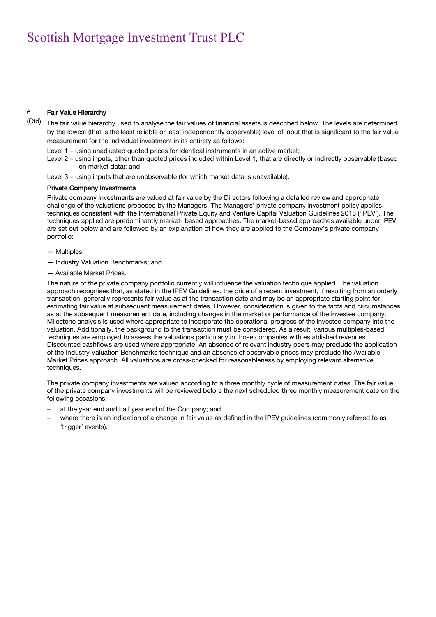#### 6. Fair Value Hierarchy

(Ctd) The fair value hierarchy used to analyse the fair values of financial assets is described below. The levels are determined by the lowest (that is the least reliable or least independently observable) level of input that is significant to the fair value measurement for the individual investment in its entirety as follows:

Level 1 – using unadjusted quoted prices for identical instruments in an active market;

Level 2 – using inputs, other than quoted prices included within Level 1, that are directly or indirectly observable (based on market data); and

Level 3 – using inputs that are unobservable (for which market data is unavailable).

#### Private Company Investments

Private company investments are valued at fair value by the Directors following a detailed review and appropriate challenge of the valuations proposed by the Managers. The Managers' private company investment policy applies techniques consistent with the International Private Equity and Venture Capital Valuation Guidelines 2018 ('IPEV'). The techniques applied are predominantly market- based approaches. The market-based approaches available under IPEV are set out below and are followed by an explanation of how they are applied to the Company's private company portfolio:

- Multiples;
- Industry Valuation Benchmarks; and
- Available Market Prices.

The nature of the private company portfolio currently will influence the valuation technique applied. The valuation approach recognises that, as stated in the IPEV Guidelines, the price of a recent investment, if resulting from an orderly transaction, generally represents fair value as at the transaction date and may be an appropriate starting point for estimating fair value at subsequent measurement dates. However, consideration is given to the facts and circumstances as at the subsequent measurement date, including changes in the market or performance of the investee company. Milestone analysis is used where appropriate to incorporate the operational progress of the investee company into the valuation. Additionally, the background to the transaction must be considered. As a result, various multiples-based techniques are employed to assess the valuations particularly in those companies with established revenues. Discounted cashflows are used where appropriate. An absence of relevant industry peers may preclude the application of the Industry Valuation Benchmarks technique and an absence of observable prices may preclude the Available Market Prices approach. All valuations are cross-checked for reasonableness by employing relevant alternative techniques.

The private company investments are valued according to a three monthly cycle of measurement dates. The fair value of the private company investments will be reviewed before the next scheduled three monthly measurement date on the following occasions:

- at the year end and half year end of the Company; and
- where there is an indication of a change in fair value as defined in the IPEV guidelines (commonly referred to as 'trigger' events).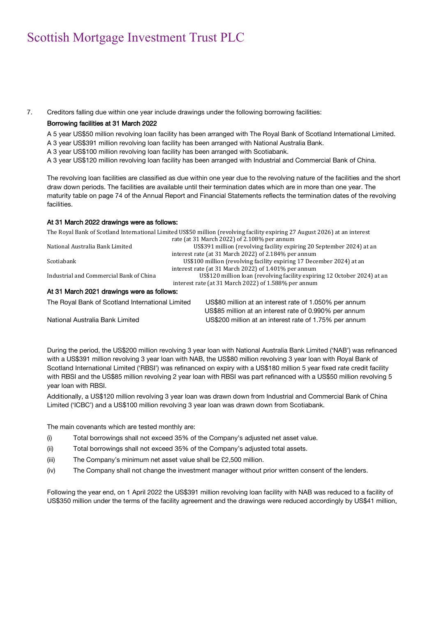7. Creditors falling due within one year include drawings under the following borrowing facilities:

#### Borrowing facilities at 31 March 2022

A 5 year US\$50 million revolving loan facility has been arranged with The Royal Bank of Scotland International Limited. A 3 year US\$391 million revolving loan facility has been arranged with National Australia Bank. A 3 year US\$100 million revolving loan facility has been arranged with Scotiabank. A 3 year US\$120 million revolving loan facility has been arranged with Industrial and Commercial Bank of China.

The revolving loan facilities are classified as due within one year due to the revolving nature of the facilities and the short draw down periods. The facilities are available until their termination dates which are in more than one year. The maturity table on page 74 of the Annual Report and Financial Statements reflects the termination dates of the revolving facilities.

#### At 31 March 2022 drawings were as follows:

The Royal Bank of Scotland International Limited US\$50 million (revolving facility expiring 27 August 2026) at an interest rate (at 31 March 2022) of 2.108% per annum

| National Australia Bank Limited                  |                                                                          | US\$391 million (revolving facility expiring 20 September 2024) at an |  |  |
|--------------------------------------------------|--------------------------------------------------------------------------|-----------------------------------------------------------------------|--|--|
|                                                  |                                                                          | interest rate (at 31 March 2022) of 2.184% per annum                  |  |  |
| Scotiabank                                       |                                                                          | US\$100 million (revolving facility expiring 17 December 2024) at an  |  |  |
|                                                  |                                                                          | interest rate (at 31 March 2022) of 1.401% per annum                  |  |  |
| Industrial and Commercial Bank of China          | US\$120 million loan (revolving facility expiring 12 October 2024) at an |                                                                       |  |  |
|                                                  |                                                                          | interest rate (at 31 March 2022) of 1.588% per annum                  |  |  |
| At 31 March 2021 drawings were as follows:       |                                                                          |                                                                       |  |  |
| The Royal Bank of Scotland International Limited |                                                                          | US\$80 million at an interest rate of 1.050% per annum                |  |  |
|                                                  |                                                                          | US\$85 million at an interest rate of 0.990% per annum                |  |  |
| National Australia Bank Limited                  |                                                                          | US\$200 million at an interest rate of 1.75% per annum                |  |  |
|                                                  |                                                                          |                                                                       |  |  |

During the period, the US\$200 million revolving 3 year loan with National Australia Bank Limited ('NAB') was refinanced with a US\$391 million revolving 3 year loan with NAB, the US\$80 million revolving 3 year loan with Royal Bank of Scotland International Limited ('RBSI') was refinanced on expiry with a US\$180 million 5 year fixed rate credit facility with RBSI and the US\$85 million revolving 2 year loan with RBSI was part refinanced with a US\$50 million revolving 5 year loan with RBSI.

Additionally, a US\$120 million revolving 3 year loan was drawn down from Industrial and Commercial Bank of China Limited ('ICBC') and a US\$100 million revolving 3 year loan was drawn down from Scotiabank.

The main covenants which are tested monthly are:

- (i) Total borrowings shall not exceed 35% of the Company's adjusted net asset value.
- (ii) Total borrowings shall not exceed 35% of the Company's adjusted total assets.
- (iii) The Company's minimum net asset value shall be £2,500 million.
- (iv) The Company shall not change the investment manager without prior written consent of the lenders.

Following the year end, on 1 April 2022 the US\$391 million revolving loan facility with NAB was reduced to a facility of US\$350 million under the terms of the facility agreement and the drawings were reduced accordingly by US\$41 million.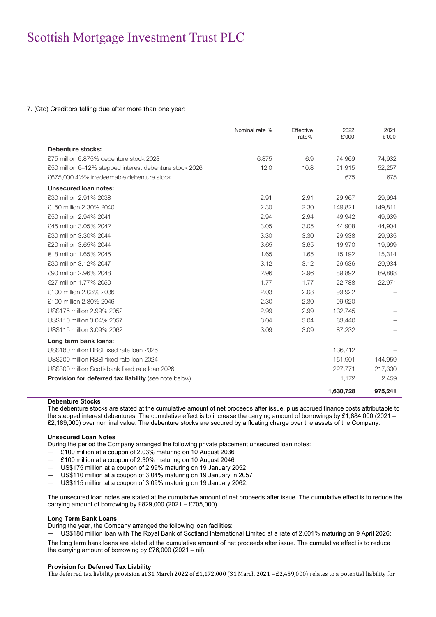7. (Ctd) Creditors falling due after more than one year:

|                                                         | Nominal rate % | Effective<br>rate% | 2022<br>£'000 | 2021<br>£'000 |
|---------------------------------------------------------|----------------|--------------------|---------------|---------------|
| <b>Debenture stocks:</b>                                |                |                    |               |               |
| £75 million 6.875% debenture stock 2023                 | 6.875          | 6.9                | 74,969        | 74,932        |
| £50 million 6-12% stepped interest debenture stock 2026 | 12.0           | 10.8               | 51,915        | 52,257        |
| £675,000 41/2% irredeemable debenture stock             |                |                    | 675           | 675           |
| Unsecured loan notes:                                   |                |                    |               |               |
| £30 million 2.91% 2038                                  | 2.91           | 2.91               | 29,967        | 29,964        |
| £150 million 2,30% 2040                                 | 2.30           | 2.30               | 149,821       | 149,811       |
| £50 million 2.94% 2041                                  | 2.94           | 2.94               | 49,942        | 49,939        |
| £45 million 3.05% 2042                                  | 3.05           | 3.05               | 44,908        | 44,904        |
| £30 million 3.30% 2044                                  | 3.30           | 3.30               | 29,938        | 29,935        |
| £20 million 3.65% 2044                                  | 3.65           | 3.65               | 19,970        | 19,969        |
| €18 million 1.65% 2045                                  | 1.65           | 1.65               | 15,192        | 15,314        |
| £30 million 3.12% 2047                                  | 3.12           | 3.12               | 29,936        | 29,934        |
| £90 million 2.96% 2048                                  | 2.96           | 2.96               | 89,892        | 89,888        |
| €27 million 1.77% 2050                                  | 1.77           | 1.77               | 22,788        | 22,971        |
| £100 million 2.03% 2036                                 | 2.03           | 2.03               | 99,922        |               |
| £100 million 2,30% 2046                                 | 2.30           | 2.30               | 99,920        |               |
| US\$175 million 2.99% 2052                              | 2.99           | 2.99               | 132,745       |               |
| US\$110 million 3.04% 2057                              | 3.04           | 3.04               | 83,440        |               |
| US\$115 million 3.09% 2062                              | 3.09           | 3.09               | 87,232        |               |
| Long term bank loans:                                   |                |                    |               |               |
| US\$180 million RBSI fixed rate loan 2026               |                |                    | 136,712       |               |
| US\$200 million RBSI fixed rate loan 2024               |                |                    | 151,901       | 144,959       |
| US\$300 million Scotiabank fixed rate loan 2026         |                |                    | 227,771       | 217,330       |
| Provision for deferred tax liability (see note below)   |                |                    | 1,172         | 2,459         |
|                                                         |                |                    | 1.630.728     | 975.241       |

#### **Debenture Stocks**

The debenture stocks are stated at the cumulative amount of net proceeds after issue, plus accrued finance costs attributable to the stepped interest debentures. The cumulative effect is to increase the carrying amount of borrowings by £1,884,000 (2021 – £2,189,000) over nominal value. The debenture stocks are secured by a floating charge over the assets of the Company.

#### **Unsecured Loan Notes**

During the period the Company arranged the following private placement unsecured loan notes:

- £100 million at a coupon of 2.03% maturing on 10 August 2036
- £100 million at a coupon of 2.30% maturing on 10 August 2046
- US\$175 million at a coupon of 2.99% maturing on 19 January 2052
- US\$110 million at a coupon of 3.04% maturing on 19 January in 2057
- US\$115 million at a coupon of 3.09% maturing on 19 January 2062.

The unsecured loan notes are stated at the cumulative amount of net proceeds after issue. The cumulative effect is to reduce the carrying amount of borrowing by £829,000 (2021 – £705,000).

#### **Long Term Bank Loans**

During the year, the Company arranged the following loan facilities:

— US\$180 million loan with The Royal Bank of Scotland International Limited at a rate of 2.601% maturing on 9 April 2026;

The long term bank loans are stated at the cumulative amount of net proceeds after issue. The cumulative effect is to reduce the carrying amount of borrowing by £76,000 (2021 – nil).

#### **Provision for Deferred Tax Liability**

The deferred tax liability provision at 31 March 2022 of £1,172,000 (31 March 2021 – £2,459,000) relates to a potential liability for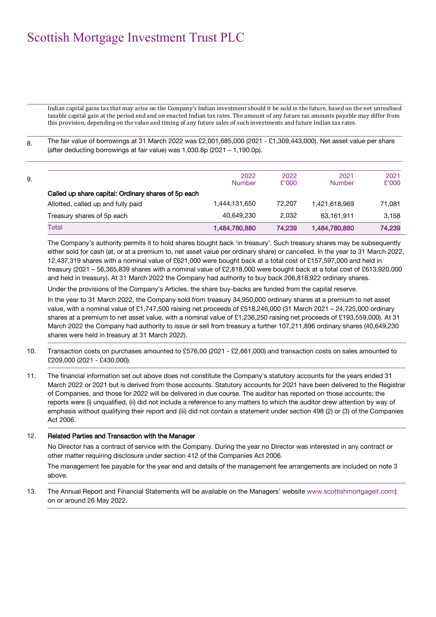Indian capital gains tax that may arise on the Company's Indian investment should it be sold in the future, based on the net unrealised taxable capital gain at the period end and on enacted Indian tax rates. The amount of any future tax amounts payable may differ from this provision, depending on the value and timing of any future sales of such investments and future Indian tax rates.

8. The fair value of borrowings at 31 March 2022 was £2,001,685,000 (2021 - £1,309,443,000). Net asset value per share (after deducting borrowings at fair value) was 1,030.8p (2021 – 1,190.0p).

|                                                     | 2022          | 2022   | 2021          | 2021   |
|-----------------------------------------------------|---------------|--------|---------------|--------|
|                                                     | <b>Number</b> | £'000  | <b>Number</b> | £'000  |
| Called up share capital: Ordinary shares of 5p each |               |        |               |        |
| Allotted, called up and fully paid                  | 1,444,131,650 | 72.207 | 1,421,618,969 | 71,081 |
| Treasury shares of 5p each                          | 40,649,230    | 2.032  | 63,161,911    | 3,158  |
| Total                                               | 1,484,780,880 | 74.239 | 1,484,780,880 | 74,239 |

The Company's authority permits it to hold shares bought back 'in treasury'. Such treasury shares may be subsequently either sold for cash (at, or at a premium to, net asset value per ordinary share) or cancelled. In the year to 31 March 2022, 12,437,319 shares with a nominal value of £621,000 were bought back at a total cost of £157,597,000 and held in treasury (2021 – 56,365,839 shares with a nominal value of £2,818,000 were bought back at a total cost of £613,920,000 and held in treasury). At 31 March 2022 the Company had authority to buy back 206,818,922 ordinary shares.

Under the provisions of the Company's Articles, the share buy-backs are funded from the capital reserve.

In the year to 31 March 2022, the Company sold from treasury 34,950,000 ordinary shares at a premium to net asset value, with a nominal value of £1,747,500 raising net proceeds of £518,246,000 (31 March 2021 – 24,725,000 ordinary shares at a premium to net asset value, with a nominal value of £1,236,250 raising net proceeds of £193,559,000). At 31 March 2022 the Company had authority to issue or sell from treasury a further 107,211,896 ordinary shares (40,649,230 shares were held in treasury at 31 March 2022).

- 10. Transaction costs on purchases amounted to £576,00 (2021 £2,661,000) and transaction costs on sales amounted to £209,000 (2021 - £430,000).
- 11. The financial information set out above does not constitute the Company's statutory accounts for the years ended 31 March 2022 or 2021 but is derived from those accounts. Statutory accounts for 2021 have been delivered to the Registrar of Companies, and those for 2022 will be delivered in due course. The auditor has reported on those accounts; the reports were (i) unqualified, (ii) did not include a reference to any matters to which the auditor drew attention by way of emphasis without qualifying their report and (iii) did not contain a statement under section 498 (2) or (3) of the Companies Act 2006.

#### 12. Related Parties and Transaction with the Manager

No Director has a contract of service with the Company. During the year no Director was interested in any contract or other matter requiring disclosure under section 412 of the Companies Act 2006.

The management fee payable for the year end and details of the management fee arrangements are included on note 3 above.

13. The Annual Report and Financial Statements will be available on the Managers' website [www.scottishmortgageit.com‡](http://www.scottishmortgageit.com/) on or around 26 May 2022.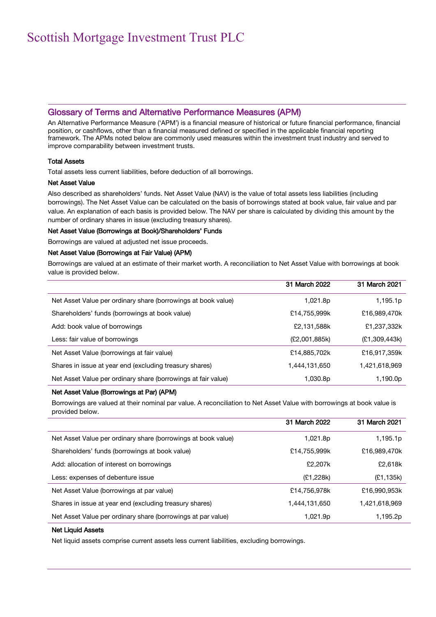#### Glossary of Terms and Alternative Performance Measures (APM)

An Alternative Performance Measure ('APM') is a financial measure of historical or future financial performance, financial position, or cashflows, other than a financial measured defined or specified in the applicable financial reporting framework. The APMs noted below are commonly used measures within the investment trust industry and served to improve comparability between investment trusts.

#### Total Assets

Total assets less current liabilities, before deduction of all borrowings.

#### Net Asset Value

Also described as shareholders' funds. Net Asset Value (NAV) is the value of total assets less liabilities (including borrowings). The Net Asset Value can be calculated on the basis of borrowings stated at book value, fair value and par value. An explanation of each basis is provided below. The NAV per share is calculated by dividing this amount by the number of ordinary shares in issue (excluding treasury shares).

Net Asset Value (Borrowings at Book)/Shareholders' Funds

Borrowings are valued at adjusted net issue proceeds.

#### Net Asset Value (Borrowings at Fair Value) (APM)

Borrowings are valued at an estimate of their market worth. A reconciliation to Net Asset Value with borrowings at book value is provided below.

|                                                               | 31 March 2022 | 31 March 2021   |
|---------------------------------------------------------------|---------------|-----------------|
| Net Asset Value per ordinary share (borrowings at book value) | 1,021.8p      | 1,195.1p        |
| Shareholders' funds (borrowings at book value)                | £14,755,999k  | £16,989,470k    |
| Add: book value of borrowings                                 | £2,131,588k   | £1,237,332k     |
| Less: fair value of borrowings                                | (E2,001,885k) | (E1, 309, 443k) |
| Net Asset Value (borrowings at fair value)                    | £14,885,702k  | £16,917,359k    |
| Shares in issue at year end (excluding treasury shares)       | 1,444,131,650 | 1,421,618,969   |
| Net Asset Value per ordinary share (borrowings at fair value) | 1,030.8p      | 1,190.0p        |

#### Net Asset Value (Borrowings at Par) (APM)

Borrowings are valued at their nominal par value. A reconciliation to Net Asset Value with borrowings at book value is provided below.

|                                                               | 31 March 2022 | 31 March 2021        |
|---------------------------------------------------------------|---------------|----------------------|
| Net Asset Value per ordinary share (borrowings at book value) | 1,021.8p      | 1,195.1 <sub>p</sub> |
| Shareholders' funds (borrowings at book value)                | £14,755,999k  | £16,989,470k         |
| Add: allocation of interest on borrowings                     | £2,207k       | £2,618k              |
| Less: expenses of debenture issue                             | (E1,228k)     | (E1, 135k)           |
| Net Asset Value (borrowings at par value)                     | £14,756,978k  | £16,990,953k         |
| Shares in issue at year end (excluding treasury shares)       | 1,444,131,650 | 1,421,618,969        |
| Net Asset Value per ordinary share (borrowings at par value)  | 1,021.9p      | 1,195.2p             |

#### Net Liquid Assets

Net liquid assets comprise current assets less current liabilities, excluding borrowings.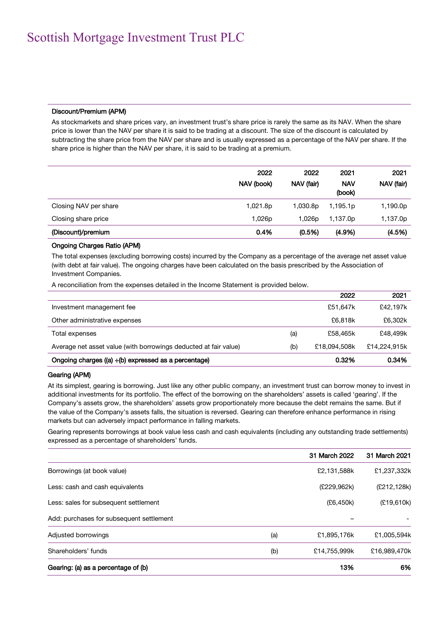#### Discount/Premium (APM)

As stockmarkets and share prices vary, an investment trust's share price is rarely the same as its NAV. When the share price is lower than the NAV per share it is said to be trading at a discount. The size of the discount is calculated by subtracting the share price from the NAV per share and is usually expressed as a percentage of the NAV per share. If the share price is higher than the NAV per share, it is said to be trading at a premium.

|                       | 2022       | 2022       | 2021                 | 2021       |
|-----------------------|------------|------------|----------------------|------------|
|                       | NAV (book) | NAV (fair) | <b>NAV</b><br>(book) | NAV (fair) |
| Closing NAV per share | 1,021.8p   | 1,030.8p   | 1,195.1p             | 1,190.0p   |
| Closing share price   | 1,026p     | 1,026p     | 1,137.0p             | 1,137.0p   |
| (Discount)/premium    | 0.4%       | (0.5%)     | (4.9%)               | (4.5%)     |

#### Ongoing Charges Ratio (APM)

The total expenses (excluding borrowing costs) incurred by the Company as a percentage of the average net asset value (with debt at fair value). The ongoing charges have been calculated on the basis prescribed by the Association of Investment Companies.

A reconciliation from the expenses detailed in the Income Statement is provided below.

|                                                                  |     | 2022         | 2021         |
|------------------------------------------------------------------|-----|--------------|--------------|
| Investment management fee                                        |     | £51,647k     | £42,197k     |
| Other administrative expenses                                    |     | £6.818k      | £6,302k      |
| Total expenses                                                   | (a) | £58,465k     | £48.499k     |
| Average net asset value (with borrowings deducted at fair value) | (b) | £18,094,508k | £14,224,915k |
| Ongoing charges ((a) $\div$ (b) expressed as a percentage)       |     | 0.32%        | 0.34%        |

#### Gearing (APM)

At its simplest, gearing is borrowing. Just like any other public company, an investment trust can borrow money to invest in additional investments for its portfolio. The effect of the borrowing on the shareholders' assets is called 'gearing'. If the Company's assets grow, the shareholders' assets grow proportionately more because the debt remains the same. But if the value of the Company's assets falls, the situation is reversed. Gearing can therefore enhance performance in rising markets but can adversely impact performance in falling markets.

Gearing represents borrowings at book value less cash and cash equivalents (including any outstanding trade settlements) expressed as a percentage of shareholders' funds.

|                                          |     | 31 March 2022 | 31 March 2021 |
|------------------------------------------|-----|---------------|---------------|
| Borrowings (at book value)               |     | £2,131,588k   | £1,237,332k   |
| Less: cash and cash equivalents          |     | (£229,962k)   | (E212, 128k)  |
| Less: sales for subsequent settlement    |     | (E6, 450k)    | (E19,610k)    |
| Add: purchases for subsequent settlement |     |               |               |
| Adjusted borrowings                      | (a) | £1,895,176k   | £1,005,594k   |
| Shareholders' funds                      | (b) | £14,755,999k  | £16,989,470k  |
| Gearing: (a) as a percentage of (b)      |     | 13%           | 6%            |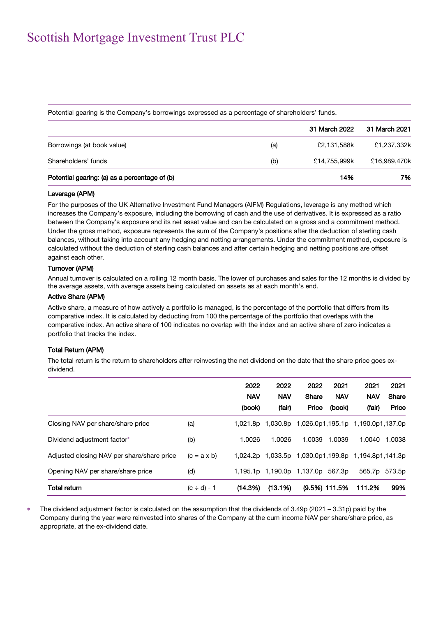Potential gearing is the Company's borrowings expressed as a percentage of shareholders' funds.

|     | 31 March 2022 | 31 March 2021 |
|-----|---------------|---------------|
| (a) | £2,131,588k   | £1,237,332k   |
| (b) | £14,755,999k  | £16,989,470k  |
|     | 14%           | 7%            |
|     |               |               |

#### Leverage (APM)

For the purposes of the UK Alternative Investment Fund Managers (AIFM) Regulations, leverage is any method which increases the Company's exposure, including the borrowing of cash and the use of derivatives. It is expressed as a ratio between the Company's exposure and its net asset value and can be calculated on a gross and a commitment method. Under the gross method, exposure represents the sum of the Company's positions after the deduction of sterling cash balances, without taking into account any hedging and netting arrangements. Under the commitment method, exposure is calculated without the deduction of sterling cash balances and after certain hedging and netting positions are offset against each other.

#### Turnover (APM)

Annual turnover is calculated on a rolling 12 month basis. The lower of purchases and sales for the 12 months is divided by the average assets, with average assets being calculated on assets as at each month's end.

#### Active Share (APM)

Active share, a measure of how actively a portfolio is managed, is the percentage of the portfolio that differs from its comparative index. It is calculated by deducting from 100 the percentage of the portfolio that overlaps with the comparative index. An active share of 100 indicates no overlap with the index and an active share of zero indicates a portfolio that tracks the index.

#### Total Return (APM)

The total return is the return to shareholders after reinvesting the net dividend on the date that the share price goes exdividend.

|                                            |                    | 2022<br><b>NAV</b><br>(book) | 2022<br><b>NAV</b><br>(fair) | 2022<br>Share<br>Price                                 | 2021<br><b>NAV</b><br>(book) | 2021<br><b>NAV</b><br>(fair) | 2021<br>Share<br>Price |
|--------------------------------------------|--------------------|------------------------------|------------------------------|--------------------------------------------------------|------------------------------|------------------------------|------------------------|
| Closing NAV per share/share price          | (a)                |                              |                              | 1,021.8p  1,030.8p  1,026.0p1,195.1p  1,190.0p1,137.0p |                              |                              |                        |
| Dividend adjustment factor*                | (b)                | 1.0026                       | 1.0026                       | 1.0039                                                 | 1.0039                       | 1.0040                       | 1.0038                 |
| Adjusted closing NAV per share/share price | $(c = a \times b)$ |                              |                              | 1,024.2p 1,033.5p 1,030.0p1,199.8p 1,194.8p1,141.3p    |                              |                              |                        |
| Opening NAV per share/share price          | (d)                |                              |                              | 1,195.1p 1,190.0p 1,137.0p 567.3p                      |                              |                              | 565.7p 573.5p          |
| <b>Total return</b>                        | $(c \div d) - 1$   | (14.3%)                      | (13.1%)                      |                                                        | $(9.5\%)$ 111.5%             | 111.2%                       | 99%                    |

The dividend adjustment factor is calculated on the assumption that the dividends of  $3.49p$  (2021 –  $3.31p$ ) paid by the Company during the year were reinvested into shares of the Company at the cum income NAV per share/share price, as appropriate, at the ex-dividend date.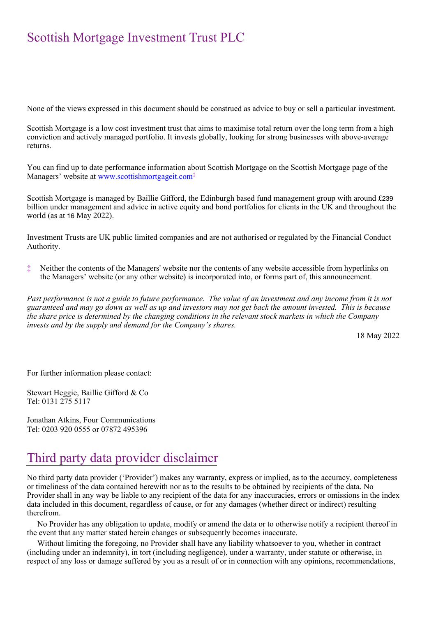None of the views expressed in this document should be construed as advice to buy or sell a particular investment.

Scottish Mortgage is a low cost investment trust that aims to maximise total return over the long term from a high conviction and actively managed portfolio. It invests globally, looking for strong businesses with above-average returns.

You can find up to date performance information about Scottish Mortgage on the Scottish Mortgage page of the Managers' website at www.scottishmortgageit.com<sup>‡</sup>

Scottish Mortgage is managed by Baillie Gifford, the Edinburgh based fund management group with around £239 billion under management and advice in active equity and bond portfolios for clients in the UK and throughout the world (as at 16 May 2022).

Investment Trusts are UK public limited companies and are not authorised or regulated by the Financial Conduct Authority.

‡ Neither the contents of the Managers' website nor the contents of any website accessible from hyperlinks on the Managers' website (or any other website) is incorporated into, or forms part of, this announcement.

*Past performance is not a guide to future performance. The value of an investment and any income from it is not guaranteed and may go down as well as up and investors may not get back the amount invested. This is because the share price is determined by the changing conditions in the relevant stock markets in which the Company invests and by the supply and demand for the Company's shares.*

18 May 2022

For further information please contact:

Stewart Heggie, Baillie Gifford & Co Tel: 0131 275 5117

Jonathan Atkins, Four Communications Tel: 0203 920 0555 or 07872 495396

### Third party data provider disclaimer

No third party data provider ('Provider') makes any warranty, express or implied, as to the accuracy, completeness or timeliness of the data contained herewith nor as to the results to be obtained by recipients of the data. No Provider shall in any way be liable to any recipient of the data for any inaccuracies, errors or omissions in the index data included in this document, regardless of cause, or for any damages (whether direct or indirect) resulting therefrom.

No Provider has any obligation to update, modify or amend the data or to otherwise notify a recipient thereof in the event that any matter stated herein changes or subsequently becomes inaccurate.

Without limiting the foregoing, no Provider shall have any liability whatsoever to you, whether in contract (including under an indemnity), in tort (including negligence), under a warranty, under statute or otherwise, in respect of any loss or damage suffered by you as a result of or in connection with any opinions, recommendations,